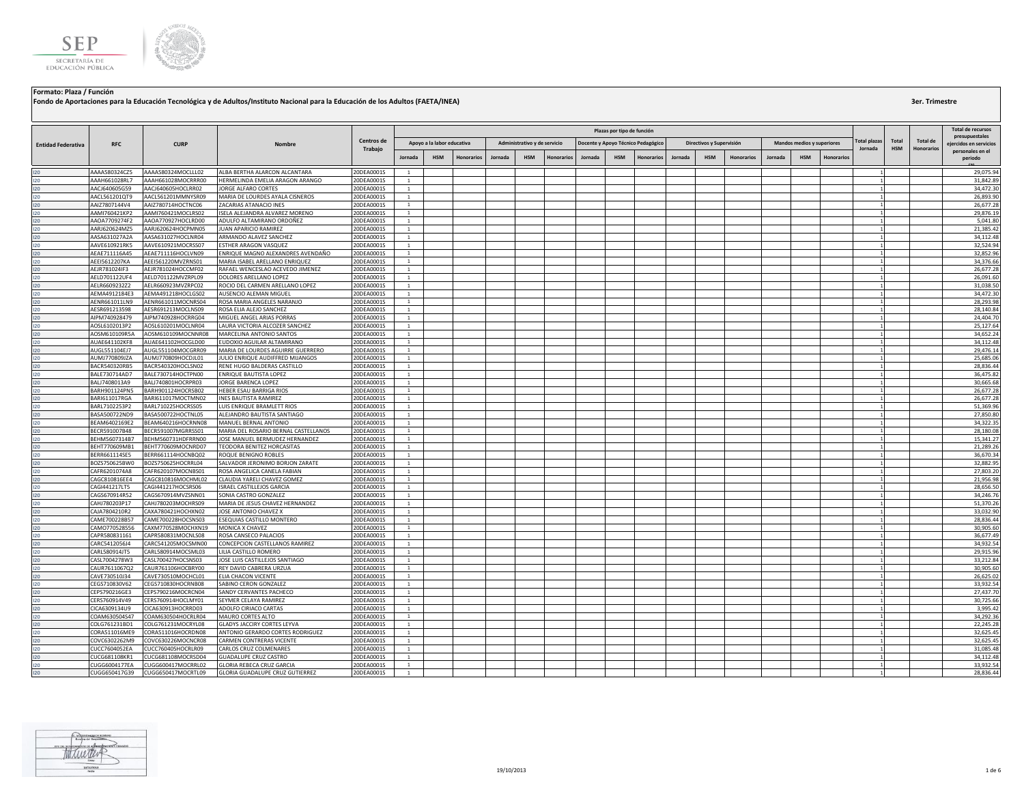

|                           |                                |                                          |                                                                |                          |                                |                            |                   |         |                              |            |         |                            |                                    |         |                          |                   |         |                            |            |                              |                     |                               | <b>Total de recursos</b>    |
|---------------------------|--------------------------------|------------------------------------------|----------------------------------------------------------------|--------------------------|--------------------------------|----------------------------|-------------------|---------|------------------------------|------------|---------|----------------------------|------------------------------------|---------|--------------------------|-------------------|---------|----------------------------|------------|------------------------------|---------------------|-------------------------------|-----------------------------|
|                           |                                |                                          |                                                                |                          |                                |                            |                   |         |                              |            |         | Plazas por tipo de función |                                    |         |                          |                   |         |                            |            |                              |                     |                               | presupuestales              |
| <b>Entidad Federativa</b> | <b>RFC</b>                     | <b>CURP</b>                              | <b>Nombre</b>                                                  | Centros de<br>Trabajo    |                                | Apoyo a la labor educativa |                   |         | Administrativo y de servicio |            |         |                            | Docente y Apoyo Técnico Pedagógico |         | Directivos y Supervisión |                   |         | Mandos medios y superiores |            | Total plazas<br>Jornada      | Total<br><b>HSM</b> | Total de<br><b>Honorarios</b> | eiercidos en servicios      |
|                           |                                |                                          |                                                                |                          | Jornada                        | <b>HSM</b>                 | <b>Honorarios</b> | Jornada | <b>HSM</b>                   | Honorarios | Jornada | <b>HSM</b>                 | <b>Honorarios</b>                  | Jornada | <b>HSM</b>               | <b>Honorarios</b> | Jornada | <b>HSM</b>                 | Honorario: |                              |                     |                               | personales en el<br>periodo |
| 120                       | AAAA580324CZ5                  | AAAA580324MOCLLL02                       | ALBA BERTHA ALARCON ALCANTARA                                  | 20DEA0001S               | $\overline{1}$                 |                            |                   |         |                              |            |         |                            |                                    |         |                          |                   |         |                            |            | 1                            |                     |                               | 29,075.94                   |
| 120                       | AAAH661028RL7                  | AAAH661028MOCRRR00                       | HERMELINDA EMELIA ARAGON ARANGO                                | 20DEA0001S               | $\overline{1}$                 |                            |                   |         |                              |            |         |                            |                                    |         |                          |                   |         |                            |            | $\mathbf{1}$                 |                     |                               | 31,842.89                   |
| 120                       | AACJ640605G59                  | AACJ640605HOCLRR02                       | JORGE ALFARO CORTES                                            | 20DEA0001S               | $\mathbf{1}$                   |                            |                   |         |                              |            |         |                            |                                    |         |                          |                   |         |                            |            | 1                            |                     |                               | 34,472.30                   |
| 120                       | AACL561201QT9                  | AACL561201MMNYSR09                       | MARIA DE LOURDES AYALA CISNEROS                                | 20DEA0001S               | $\mathbf{1}$                   |                            |                   |         |                              |            |         |                            |                                    |         |                          |                   |         |                            |            |                              |                     |                               | 26,893.90                   |
| 120                       | AAIZ7807144V4                  | AAIZ780714HOCTNC06                       | ZACARIAS ATANACIO INES                                         | 20DEA0001S               | <sup>1</sup>                   |                            |                   |         |                              |            |         |                            |                                    |         |                          |                   |         |                            |            |                              |                     |                               | 26,677.28                   |
| 120                       | AAMI760421KP2                  | AAMI760421MOCLRS02                       | ISELA ALEJANDRA ALVAREZ MORENO                                 | 20DEA0001S               | 1                              |                            |                   |         |                              |            |         |                            |                                    |         |                          |                   |         |                            |            | $\mathbf{1}$                 |                     |                               | 29,876.1                    |
| 120                       | AAOA7709274F2                  | AAOA770927HOCLRD00                       | ADULFO ALTAMIRANO ORDOÑEZ                                      | 20DEA0001S               | $\overline{1}$                 |                            |                   |         |                              |            |         |                            |                                    |         |                          |                   |         |                            |            |                              |                     |                               | 5,041.80                    |
| 120                       | AARJ620624MZ5<br>AASA631027A2A | AARJ620624HOCPMN05<br>AASA631027HOCLNR04 | JUAN APARICIO RAMIREZ<br>ARMANDO ALAVEZ SANCHEZ                | 20DEA0001S<br>20DEA0001S | $\overline{1}$<br>$\mathbf{1}$ |                            |                   |         |                              |            |         |                            |                                    |         |                          |                   |         |                            |            | 1<br>1                       |                     |                               | 21,385.42<br>34,112.48      |
| 120<br>120                | AAVE610921RK5                  | AAVE610921MOCRSS07                       | ESTHER ARAGON VASQUEZ                                          | 20DEA0001S               | $\mathbf{1}$                   |                            |                   |         |                              |            |         |                            |                                    |         |                          |                   |         |                            |            |                              |                     |                               | 32,524.94                   |
| 120                       | AEAE711116A45                  | AEAE711116HOCLVN09                       | ENRIQUE MAGNO ALEXANDRES AVENDAÑO                              | 20DEA0001S               | $\overline{1}$                 |                            |                   |         |                              |            |         |                            |                                    |         |                          |                   |         |                            |            | 1                            |                     |                               | 32,852.96                   |
| 120                       | AEEI5612207KA                  | AEEI561220MVZRNS01                       | MARIA ISABEL ARELLANO ENRIQUEZ                                 | 20DEA0001S               | $\mathbf{1}$                   |                            |                   |         |                              |            |         |                            |                                    |         |                          |                   |         |                            |            | $\mathbf{1}$                 |                     |                               | 34,376.66                   |
| 120                       | AEJR781024IF3                  | AEJR781024HOCCMF02                       | RAFAEL WENCESLAO ACEVEDO JIMENEZ                               | 20DEA0001S               | $\mathbf{1}$                   |                            |                   |         |                              |            |         |                            |                                    |         |                          |                   |         |                            |            |                              |                     |                               | 26,677.28                   |
| 120                       | AELD701122UF4                  | AELD701122MVZRPL09                       | DOLORES ARELLANO LOPEZ                                         | 20DEA0001S               | $\mathbf{1}$                   |                            |                   |         |                              |            |         |                            |                                    |         |                          |                   |         |                            |            | 1                            |                     |                               | 26,091.60                   |
| 120                       | AELR6609232Z2                  | AELR660923MVZRPC02                       | ROCIO DEL CARMEN ARELLANO LOPEZ                                | 20DEA0001S               | $\mathbf{1}$                   |                            |                   |         |                              |            |         |                            |                                    |         |                          |                   |         |                            |            | $\mathbf{1}$                 |                     |                               | 31,038.50                   |
| 120                       | AEMA4912184E3                  | AEMA491218HOCLGS02                       | AUSENCIO ALEMAN MIGUEL                                         | 20DEA0001S               | $\mathbf{1}$                   |                            |                   |         |                              |            |         |                            |                                    |         |                          |                   |         |                            |            |                              |                     |                               | 34,472.30                   |
| 120                       | AENR661011LN9                  | AENR661011MOCNRS04                       | ROSA MARIA ANGELES NARANJO                                     | 20DEA0001S               | -1                             |                            |                   |         |                              |            |         |                            |                                    |         |                          |                   |         |                            |            | 1                            |                     |                               | 28,293.98<br>28,140.84      |
| 120<br>120                | AESR691213598<br>AIPM740928479 | AESR691213MOCLNS09<br>AIPM740928HOCRRG04 | ROSA ELIA ALEJO SANCHEZ<br>MIGUEL ANGEL ARIAS PORRAS           | 20DEA0001S<br>20DEA0001S | 1<br>$\overline{1}$            |                            |                   |         |                              |            |         |                            |                                    |         |                          |                   |         |                            |            | $\mathbf{1}$<br>$\mathbf{1}$ |                     |                               | 24,404.70                   |
| 120                       | AOSL6102013P2                  | AOSL610201MOCLNR04                       | LAURA VICTORIA ALCOZER SANCHEZ                                 | 20DEA0001S               | $\overline{1}$                 |                            |                   |         |                              |            |         |                            |                                    |         |                          |                   |         |                            |            | 1                            |                     |                               | 25,127.64                   |
| 120                       | AOSM610109R5A                  | AOSM610109MOCNNR08                       | MARCELINA ANTONIO SANTOS                                       | 20DEA0001S               | $\mathbf{1}$                   |                            |                   |         |                              |            |         |                            |                                    |         |                          |                   |         |                            |            | $\mathbf{1}$                 |                     |                               | 34,652.24                   |
| 120                       | AUAE641102KF8                  | AUAE641102HOCGLD00                       | EUDOXIO AGUILAR ALTAMIRANO                                     | 20DEA0001S               | $\mathbf{1}$                   |                            |                   |         |                              |            |         |                            |                                    |         |                          |                   |         |                            |            |                              |                     |                               | 34,112.48                   |
| 120                       | AUGL551104EJ7                  | AUGL551104MOCGRR09                       | MARIA DE LOURDES AGUIRRE GUERRERO                              | 20DEA0001S               | 1                              |                            |                   |         |                              |            |         |                            |                                    |         |                          |                   |         |                            |            | 1                            |                     |                               | 29,476.14                   |
| 120                       | AUMJ770809JZA                  | AUMJ770809HOCDJL01                       | JULIO ENRIQUE AUDIFFRED MIJANGOS                               | 20DEA0001S               | $\mathbf{1}$                   |                            |                   |         |                              |            |         |                            |                                    |         |                          |                   |         |                            |            | $\mathbf{1}$                 |                     |                               | 25,685.06                   |
| 120                       | BACR540320RB5                  | BACR540320HOCLSN02                       | RENE HUGO BALDERAS CASTILLO                                    | 20DEA0001S               | $\overline{1}$                 |                            |                   |         |                              |            |         |                            |                                    |         |                          |                   |         |                            |            | 1                            |                     |                               | 28,836.44                   |
| 120                       | BALE730714AD7                  | BALE730714HOCTPN00                       | <b>ENRIQUE BAUTISTA LOPEZ</b>                                  | 20DEA0001S               | $\overline{1}$                 |                            |                   |         |                              |            |         |                            |                                    |         |                          |                   |         |                            |            | $\mathbf{1}$                 |                     |                               | 36,475.82                   |
| 120                       | BALJ7408013A9                  | BALJ740801HOCRPR03                       | JORGE BARENCA LOPEZ                                            | 20DEA0001S               | $\mathbf{1}$                   |                            |                   |         |                              |            |         |                            |                                    |         |                          |                   |         |                            |            | $\mathbf{1}$                 |                     |                               | 30,665.68                   |
| 120<br>$120 -$            | BARH901124PN5<br>BARI611017RGA | BARH901124HOCRSB02<br>BARI611017MOCTMN02 | HEBER ESAU BARRIGA RIOS<br><b>INES BAUTISTA RAMIREZ</b>        | 20DEA0001S<br>20DEA0001S | $\mathbf{1}$<br><sup>1</sup>   |                            |                   |         |                              |            |         |                            |                                    |         |                          |                   |         |                            |            |                              |                     |                               | 26,677.28<br>26,677.28      |
| 120                       | BARL7102253P2                  | BARL710225HOCRSS05                       | LUIS ENRIQUE BRAMLETT RIOS                                     | 20DEA0001S               | <sup>1</sup>                   |                            |                   |         |                              |            |         |                            |                                    |         |                          |                   |         |                            |            | 1                            |                     |                               | 51,369.96                   |
| 120                       | BASA500722ND9                  | BASA500722HOCTNL05                       | ALEJANDRO BAUTISTA SANTIAGO                                    | 20DEA0001S               | <sup>1</sup>                   |                            |                   |         |                              |            |         |                            |                                    |         |                          |                   |         |                            |            | $\mathbf{1}$                 |                     |                               | 27,850.80                   |
| 120                       | BEAM6402169E2                  | BEAM640216HOCRNN08                       | MANUEL BERNAL ANTONIO                                          | 20DEA0001S               | $\overline{1}$                 |                            |                   |         |                              |            |         |                            |                                    |         |                          |                   |         |                            |            | 1                            |                     |                               | 34,322.3                    |
| 120                       | BECR591007B48                  | BECR591007MGRRSS01                       | MARIA DEL ROSARIO BERNAL CASTELLANOS                           | 20DEA0001S               | $\mathbf{1}$                   |                            |                   |         |                              |            |         |                            |                                    |         |                          |                   |         |                            |            | 1                            |                     |                               | 28,180.0                    |
| 120                       | BEHM5607314B7                  | BEHM560731HDFRRN00                       | JOSE MANUEL BERMUDEZ HERNANDEZ                                 | 20DEA0001S               | $\mathbf{1}$                   |                            |                   |         |                              |            |         |                            |                                    |         |                          |                   |         |                            |            | $\mathbf{1}$                 |                     |                               | 15,341.27                   |
| 120                       | BEHT770609MB1                  | BEHT770609MOCNRD07                       | TEODORA BENITEZ HORCASITAS                                     | 20DEA0001S               | $\overline{1}$                 |                            |                   |         |                              |            |         |                            |                                    |         |                          |                   |         |                            |            | 1                            |                     |                               | 21.289.26                   |
| 120                       | BERR661114SE5                  | BERR661114HOCNBQ02                       | ROQUE BENIGNO ROBLES                                           | 20DEA0001S               | <sup>1</sup>                   |                            |                   |         |                              |            |         |                            |                                    |         |                          |                   |         |                            |            |                              |                     |                               | 36,670.34                   |
| 120<br>120                | BOZS750625BW0<br>CAFR6201074A8 | BOZS750625HOCRRL04<br>CAFR620107MOCNBS01 | SALVADOR JERONIMO BORJON ZARATE<br>ROSA ANGELICA CANELA FABIAN | 20DEA0001S<br>20DEA0001S | <sup>1</sup><br>$\mathbf{1}$   |                            |                   |         |                              |            |         |                            |                                    |         |                          |                   |         |                            |            | $\mathbf{1}$<br>$\mathbf{1}$ |                     |                               | 32,882.95<br>27,803.20      |
| 120                       | CAGC810816EE4                  | CAGC810816MOCHML02                       | CLAUDIA YARELI CHAVEZ GOMEZ                                    | 20DEA0001S               | $\mathbf{1}$                   |                            |                   |         |                              |            |         |                            |                                    |         |                          |                   |         |                            |            |                              |                     |                               | 21,956.98                   |
| 120                       | CAGI441217LT5                  | CAGI441217HOCSRS06                       | ISRAEL CASTILLEJOS GARCIA                                      | 20DEA0001S               | $\mathbf{1}$                   |                            |                   |         |                              |            |         |                            |                                    |         |                          |                   |         |                            |            | 1                            |                     |                               | 28,656.50                   |
| 120                       | CAGS670914R52                  | CAGS670914MVZSNN01                       | SONIA CASTRO GONZALEZ                                          | 20DEA0001S               | -1                             |                            |                   |         |                              |            |         |                            |                                    |         |                          |                   |         |                            |            |                              |                     |                               | 34.246.76                   |
| 120                       | CAHJ780203P17                  | CAHJ780203MOCHRS09                       | MARIA DE JESUS CHAVEZ HERNANDEZ                                | 20DEA0001S               | 1                              |                            |                   |         |                              |            |         |                            |                                    |         |                          |                   |         |                            |            |                              |                     |                               | 51,370.26                   |
| 120                       | CAJA7804210R2                  | CAXA780421HOCHXN02                       | JOSE ANTONIO CHAVEZ X                                          | 20DEA0001S               | <sup>1</sup>                   |                            |                   |         |                              |            |         |                            |                                    |         |                          |                   |         |                            |            | $\mathbf{1}$                 |                     |                               | 33,032.90                   |
| 120                       | CAME700228B57                  | CAME700228HOCSNS03                       | ESEQUIAS CASTILLO MONTERO                                      | 20DEA0001S               | $\overline{1}$                 |                            |                   |         |                              |            |         |                            |                                    |         |                          |                   |         |                            |            | $\mathbf{1}$                 |                     |                               | 28.836.44                   |
| 120                       | CAMO770528556                  | CAXM770528MOCHXN19                       | <b>MONICA X CHAVEZ</b>                                         | 20DEA0001S               | <sup>1</sup>                   |                            |                   |         |                              |            |         |                            |                                    |         |                          |                   |         |                            |            | 1                            |                     |                               | 30,905.60                   |
| 120                       | CAPR580831161                  | CAPR580831MOCNLS08                       | ROSA CANSECO PALACIOS                                          | 20DEA0001S               | <sup>1</sup>                   |                            |                   |         |                              |            |         |                            |                                    |         |                          |                   |         |                            |            |                              |                     |                               | 36,677.49                   |
| 120                       | CARC5412056J4                  | CARC541205MOCSMN00                       | CONCEPCION CASTELLANOS RAMIREZ                                 | 20DEA0001S               | $\mathbf{1}$<br>-1             |                            |                   |         |                              |            |         |                            |                                    |         |                          |                   |         |                            |            | 1                            |                     |                               | 34.932.54                   |
| 120<br>120                | CARL580914JT5<br>CASL7004278W3 | CARL580914MOCSML03<br>CASL700427HOCSNS03 | LILIA CASTILLO ROMERO<br>JOSE LUIS CASTILLEJOS SANTIAGO        | 20DEA0001S<br>20DEA0001S | $\mathbf{1}$                   |                            |                   |         |                              |            |         |                            |                                    |         |                          |                   |         |                            |            | $\mathbf{1}$                 |                     |                               | 29,915.96<br>33,212.84      |
| 120                       | CAUR7611067Q2                  | CAUR761106HOCBRY00                       | REY DAVID CABRERA URZUA                                        | 20DEA0001S               | $\mathbf{1}$                   |                            |                   |         |                              |            |         |                            |                                    |         |                          |                   |         |                            |            | $\mathbf{1}$                 |                     |                               | 30,905.60                   |
| 120                       | CAVE730510J34                  | CAVE730510MOCHCL01                       | ELIA CHACON VICENTE                                            | 20DEA0001S               | $\mathbf{1}$                   |                            |                   |         |                              |            |         |                            |                                    |         |                          |                   |         |                            |            | $\mathbf{1}$                 |                     |                               | 26,625.02                   |
| 120                       | CEGS710830V62                  | CEGS710830HOCRNB08                       | SABINO CERON GONZALEZ                                          | 20DEA0001S               | $\mathbf{1}$                   |                            |                   |         |                              |            |         |                            |                                    |         |                          |                   |         |                            |            |                              |                     |                               | 33,932.54                   |
| 120                       | CEPS790216GE3                  | CEPS790216MOCRCN04                       | SANDY CERVANTES PACHECO                                        | 20DEA0001S               | $\overline{1}$                 |                            |                   |         |                              |            |         |                            |                                    |         |                          |                   |         |                            |            |                              |                     |                               | 27,437.70                   |
| 120                       | CERS760914V49                  | CERS760914HOCLMY01                       | SEYMER CELAYA RAMIREZ                                          | 20DEA0001S               | $\mathbf{1}$                   |                            |                   |         |                              |            |         |                            |                                    |         |                          |                   |         |                            |            | 1                            |                     |                               | 30,725.66                   |
| 120                       | CICA6309134U9                  | CICA630913HOCRRD03                       | ADOLFO CIRIACO CARTAS                                          | 20DEA0001S               | <sup>1</sup>                   |                            |                   |         |                              |            |         |                            |                                    |         |                          |                   |         |                            |            | 1                            |                     |                               | 3,995.42                    |
| 120                       | COAM630504S47                  | COAM630504HOCRLR04                       | MAURO CORTES ALTO                                              | 20DEA0001S               | $\overline{1}$                 |                            |                   |         |                              |            |         |                            |                                    |         |                          |                   |         |                            |            | 1                            |                     |                               | 34,292.36                   |
| 120                       | COLG761231BD1                  | COLG761231MOCRYL08                       | GLADYS JACCIRY CORTES LEYVA                                    | 20DEA0001S               | $\mathbf{1}$                   |                            |                   |         |                              |            |         |                            |                                    |         |                          |                   |         |                            |            | 1<br>$\overline{1}$          |                     |                               | 22,245.28<br>32,625.45      |
| 120<br>120                | CORA511016ME9<br>COVC6302262M9 | CORA511016HOCRDN08<br>COVC630226MOCNCR08 | ANTONIO GERARDO CORTES RODRIGUEZ<br>CARMEN CONTRERAS VICENTE   | 20DEA0001S<br>20DEA0001S | $\mathbf{1}$<br><sup>1</sup>   |                            |                   |         |                              |            |         |                            |                                    |         |                          |                   |         |                            |            |                              |                     |                               | 32.625.45                   |
| 120                       | CUCC7604052EA                  | CUCC760405HOCRLR09                       | CARLOS CRUZ COLMENARES                                         | 20DEA0001S               | <sup>1</sup>                   |                            |                   |         |                              |            |         |                            |                                    |         |                          |                   |         |                            |            |                              |                     |                               | 31,085.48                   |
| 120                       | CUCG681108KR1                  | CUCG681108MOCRSD04                       | <b>GUADALUPE CRUZ CASTRO</b>                                   | 20DEA0001S               | $\mathbf{1}$                   |                            |                   |         |                              |            |         |                            |                                    |         |                          |                   |         |                            |            | 1                            |                     |                               | 34,112.48                   |
| 120                       | CUGG6004177EA                  | CUGG600417MOCRRL02                       | <b>GLORIA REBECA CRUZ GARCIA</b>                               | 20DEA0001S               | $\overline{1}$                 |                            |                   |         |                              |            |         |                            |                                    |         |                          |                   |         |                            |            |                              |                     |                               | 33.932.54                   |
| 120                       | CUGG650417G39                  | CUGG650417MOCRTL09                       | GLORIA GUADALUPE CRUZ GUTIERREZ                                | 20DEA0001S               | $\overline{1}$                 |                            |                   |         |                              |            |         |                            |                                    |         |                          |                   |         |                            |            | 1                            |                     |                               | 28,836.44                   |

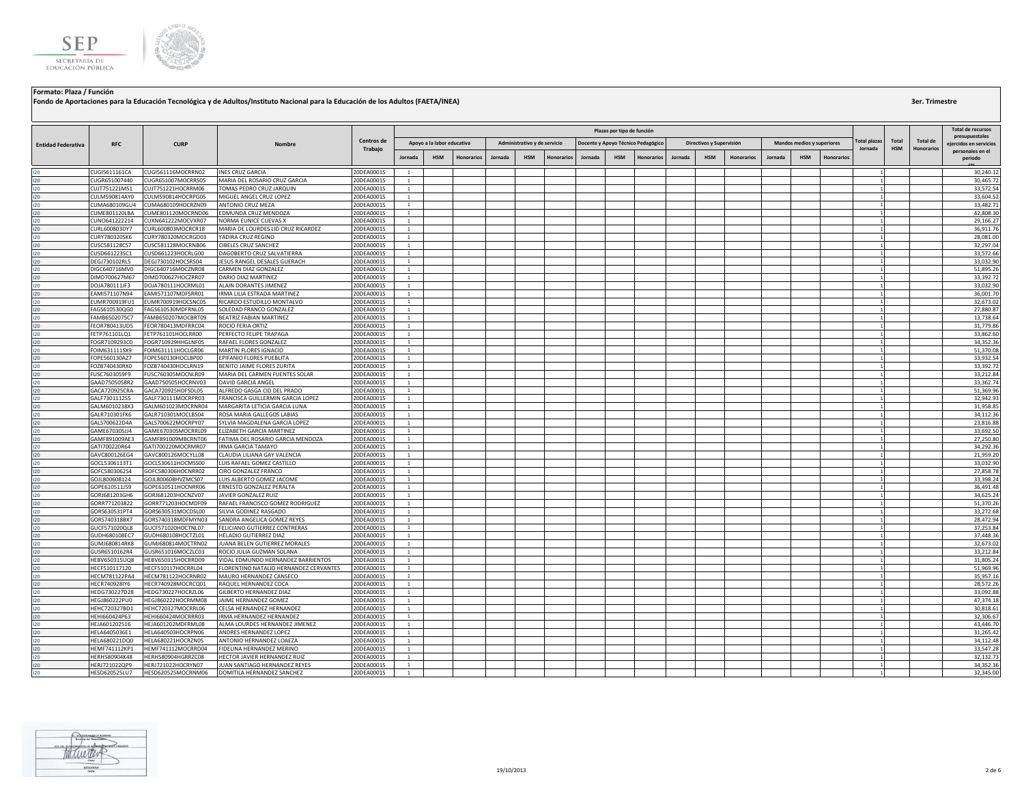

|                           |                                |                                          |                                                                  |                          |                                |                            |                   |         |                              |                   |         | Plazas por tipo de función |                                    |         |                          |                   |         |                                   |                   |                     |            |                   | <b>Total de recursos</b>                   |
|---------------------------|--------------------------------|------------------------------------------|------------------------------------------------------------------|--------------------------|--------------------------------|----------------------------|-------------------|---------|------------------------------|-------------------|---------|----------------------------|------------------------------------|---------|--------------------------|-------------------|---------|-----------------------------------|-------------------|---------------------|------------|-------------------|--------------------------------------------|
|                           |                                |                                          |                                                                  | Centros de               |                                |                            |                   |         |                              |                   |         |                            |                                    |         |                          |                   |         |                                   |                   | <b>Cotal plazas</b> | Total      | Total de          | presupuestales                             |
| <b>Entidad Federativa</b> | <b>RFC</b>                     | <b>CURP</b>                              | Nombre                                                           | Trabajo                  |                                | Apoyo a la labor educativa |                   |         | Administrativo y de servicio |                   |         |                            | Docente y Apoyo Técnico Pedagógico |         | Directivos y Supervisión |                   |         | <b>Mandos medios y superiores</b> |                   | Jornada             | <b>HSM</b> | <b>Honorarios</b> | eiercidos en servicios<br>personales en el |
|                           |                                |                                          |                                                                  |                          | <b>Jornada</b>                 | <b>HSM</b>                 | <b>Honorarios</b> | Jornada | <b>HSM</b>                   | <b>Honorarios</b> | Jornada | <b>HSM</b>                 | <b>Honorarios</b>                  | Jornada | <b>HSM</b>               | <b>Honorarios</b> | Jornada | <b>HSM</b>                        | <b>Honorarios</b> |                     |            |                   | periodo                                    |
| 120                       | CUGI5611161CA                  | CUGI561116MOCRRN02                       | <b>INES CRUZ GARCIA</b>                                          | 20DEA0001S               | $\overline{1}$                 |                            |                   |         |                              |                   |         |                            |                                    |         |                          |                   |         |                                   |                   |                     |            |                   | 30,240.12                                  |
| $120 -$                   | CUGR651007440                  | CUGR651007MOCRRS05                       | MARIA DEL ROSARIO CRUZ GARCIA                                    | 20DEA0001S               | $\overline{1}$                 |                            |                   |         |                              |                   |         |                            |                                    |         |                          |                   |         |                                   |                   |                     |            |                   | 30,465.72                                  |
| 120                       | CUJT751221MS1                  | CUJT751221HOCRRM06                       | TOMAS PEDRO CRUZ JARQUIN                                         | 20DEA0001S               | $\mathbf{1}$                   |                            |                   |         |                              |                   |         |                            |                                    |         |                          |                   |         |                                   |                   |                     |            |                   | 33,572.54                                  |
| 120                       | CULM590814AY0                  | CULM590814HOCRPG05                       | MIGUEL ANGEL CRUZ LOPEZ                                          | 20DEA0001S               | 1                              |                            |                   |         |                              |                   |         |                            |                                    |         |                          |                   |         |                                   |                   |                     |            |                   | 33,604.52                                  |
| 120                       | CUMA680109GU4                  | CUMA680109HOCRZN09                       | ANTONIO CRUZ MEZA                                                | 20DEA0001S               | <sup>1</sup>                   |                            |                   |         |                              |                   |         |                            |                                    |         |                          |                   |         |                                   |                   |                     |            |                   | 33,482.71                                  |
| 120<br>120                | CUME801120LBA                  | CUME801120MOCRND06                       | EDMUNDA CRUZ MENDOZA<br>NORMA EUNICE CUEVAS X                    | 20DEA0001S               | <sup>1</sup><br>$\overline{1}$ |                            |                   |         |                              |                   |         |                            |                                    |         |                          |                   |         |                                   |                   |                     |            |                   | 42,808.30<br>29,166.27                     |
| 120                       | CUNO641222214<br>CURL600803DY7 | CUXN641222MOCVXR07<br>CURL600803MOCRCR18 | MARIA DE LOURDES LID CRUZ RICARDEZ                               | 20DEA0001S<br>20DEA0001S | $\overline{1}$                 |                            |                   |         |                              |                   |         |                            |                                    |         |                          |                   |         |                                   |                   |                     |            |                   | 36,911.76                                  |
| 120                       | CURY780320SK6                  | CURY780320MOCRGD03                       | YADIRA CRUZ REGINO                                               | 20DEA0001S               | $\mathbf{1}$                   |                            |                   |         |                              |                   |         |                            |                                    |         |                          |                   |         |                                   |                   |                     |            |                   | 28,081.00                                  |
| 120                       | :USC581128CS7                  | CUSC581128MOCRNB06                       | CIBELES CRUZ SANCHEZ                                             | 20DEA0001S               | 1                              |                            |                   |         |                              |                   |         |                            |                                    |         |                          |                   |         |                                   |                   |                     |            |                   | 32,297.04                                  |
| 120                       | CUSD661223SC1                  | CUSD661223HOCRLG00                       | DAGOBERTO CRUZ SALVATIERRA                                       | 20DEA0001S               | <sup>1</sup>                   |                            |                   |         |                              |                   |         |                            |                                    |         |                          |                   |         |                                   |                   |                     |            |                   | 33,572.66                                  |
| 120                       | DEGJ730102RL5                  | DEGJ730102HOCSRS04                       | JESUS RANGEL DESALES GUERACH                                     | 20DEA0001S               | <sup>1</sup>                   |                            |                   |         |                              |                   |         |                            |                                    |         |                          |                   |         |                                   |                   |                     |            |                   | 33,032.90                                  |
| 120                       | DIGC640716MV0                  | DIGC640716MOCZNR08                       | CARMEN DIAZ GONZALEZ                                             | 20DEA0001S               | $\overline{1}$                 |                            |                   |         |                              |                   |         |                            |                                    |         |                          |                   |         |                                   |                   |                     |            |                   | 51,895.26                                  |
| 120                       | DIMD700627M67                  | DIMD700627HOCZRR07                       | DARIO DIAZ MARTINEZ                                              | 20DEA0001S               | $\overline{1}$                 |                            |                   |         |                              |                   |         |                            |                                    |         |                          |                   |         |                                   |                   |                     |            |                   | 33,392.72                                  |
| 120                       | DOJA780111JF3                  | DOJA780111HOCRML01                       | ALAIN DORANTES JIMENEZ                                           | 20DEA0001S               | $\,$ 1                         |                            |                   |         |                              |                   |         |                            |                                    |         |                          |                   |         |                                   |                   |                     |            |                   | 33,032.90                                  |
| 120                       | AMI571107N94                   | AMI571107MDFSRR01                        | IRMA LILIA ESTRADA MARTINEZ                                      | 20DEA0001S               | <sup>1</sup>                   |                            |                   |         |                              |                   |         |                            |                                    |         |                          |                   |         |                                   |                   |                     |            |                   | 36,001.70                                  |
| 120<br>120                | UMR700919FU1<br>FAGS610530QG0  | EUMR700919HOCSNC05<br>AGS610530MDFRNL05  | RICARDO ESTUDILLO MONTALVO<br>SOLEDAD FRANCO GONZALEZ            | 20DEA0001S<br>20DEA0001S | 1<br><sup>1</sup>              |                            |                   |         |                              |                   |         |                            |                                    |         |                          |                   |         |                                   |                   |                     |            |                   | 32,673.02<br>27,880.87                     |
| 120                       | FAMB6502075C7                  | AMB650207MOCBRT09                        | BEATRIZ FABIAN MARTINEZ                                          | 20DEA0001S               | $\overline{1}$                 |                            |                   |         |                              |                   |         |                            |                                    |         |                          |                   |         |                                   |                   |                     |            |                   | 13,738.64                                  |
| 120                       | FEOR780413UD5                  | EOR780413MDFRRC04                        | ROCIO FERIA ORTIZ                                                | 20DEA0001S               | $\overline{1}$                 |                            |                   |         |                              |                   |         |                            |                                    |         |                          |                   |         |                                   |                   |                     |            |                   | 31,779.86                                  |
| 120                       | FETP761101LQ1                  | FETP761101HOCLRR00                       | PERFECTO FELIPE TRAPAGA                                          | 20DEA0001S               | $\mathbf{1}$                   |                            |                   |         |                              |                   |         |                            |                                    |         |                          |                   |         |                                   |                   |                     |            |                   | 33,862.60                                  |
| 120                       | OGR7109293C0                   | FOGR710929HHGLNF05                       | RAFAEL FLORES GONZALEZ                                           | 20DEA0001S               | $\mathbf{1}$                   |                            |                   |         |                              |                   |         |                            |                                    |         |                          |                   |         |                                   |                   |                     |            |                   | 34,352.36                                  |
| 120                       | OIM631111SX9                   | OIM631111HOCLGR06                        | MARTIN FLORES IGNACIO                                            | 20DEA0001S               | <sup>1</sup>                   |                            |                   |         |                              |                   |         |                            |                                    |         |                          |                   |         |                                   |                   |                     |            |                   | 51,370.08                                  |
| 120                       | FOPE560130AZ7                  | FOPE560130HOCLBP00                       | EPIFANIO FLORES PUEBLITA                                         | 20DEA0001S               | $\mathbf{1}$                   |                            |                   |         |                              |                   |         |                            |                                    |         |                          |                   |         |                                   |                   |                     |            |                   | 33,932.54                                  |
| 120                       | FOZB740430RX0                  | FOZB740430HOCLRN19                       | BENITO JAIME FLORES ZURITA                                       | 20DEA0001S               | $\overline{1}$                 |                            |                   |         |                              |                   |         |                            |                                    |         |                          |                   |         |                                   |                   |                     |            |                   | 33,392.72                                  |
| 120                       | FUSC7603059F9                  | FUSC760305MOCNLR09                       | MARIA DEL CARMEN FUENTES SOLAR                                   | 20DEA0001S               | $\overline{1}$                 |                            |                   |         |                              |                   |         |                            |                                    |         |                          |                   |         |                                   |                   |                     |            |                   | 33,212.84                                  |
| 120                       | GAAD7505058R2                  | GAAD750505HOCRNV03                       | DAVID GARCIA ANGEL                                               | 20DEA0001S               | $\mathbf{1}$<br>$\mathbf{1}$   |                            |                   |         |                              |                   |         |                            |                                    |         |                          |                   |         |                                   |                   |                     |            |                   | 33,362.74<br>51,369.96                     |
| 120<br>120                | GACA720925CRA<br>GALF7301112S5 | GACA720925HDFSDL05<br>GALF730111MOCRPR03 | ALFREDO GASGA CID DEL PRADO<br>FRANCISCA GUILLERMIN GARCIA LOPEZ | 20DEA0001S<br>20DEA0001S | <sup>1</sup>                   |                            |                   |         |                              |                   |         |                            |                                    |         |                          |                   |         |                                   |                   |                     |            |                   | 32,942.93                                  |
| 120                       | GALM6010238X3                  | GALM601023MOCRNR04                       | MARGARITA LETICIA GARCIA LUNA                                    | 20DEA0001S               | <sup>1</sup>                   |                            |                   |         |                              |                   |         |                            |                                    |         |                          |                   |         |                                   |                   |                     |            |                   | 31,958.85                                  |
| 120                       | GALR710301FK6                  | GALR710301MOCLBS04                       | ROSA MARIA GALLEGOS LABIAS                                       | 20DEA0001S               | <sup>1</sup>                   |                            |                   |         |                              |                   |         |                            |                                    |         |                          |                   |         |                                   |                   |                     |            |                   | 34,112.36                                  |
| 120                       | GALS700622D4A                  | GALS700622MOCRPY07                       | SYLVIA MAGDALENA GARCIA LOPEZ                                    | 20DEA0001S               | $\overline{1}$                 |                            |                   |         |                              |                   |         |                            |                                    |         |                          |                   |         |                                   |                   |                     |            |                   | 23,816.88                                  |
| 120                       | GAME670305JJ4                  | GAME670305MOCRRL09                       | LIZABETH GARCIA MARTINEZ                                         | 20DEA0001S               | $\mathbf{1}$                   |                            |                   |         |                              |                   |         |                            |                                    |         |                          |                   |         |                                   |                   |                     |            |                   | 33,692.50                                  |
| 120                       | GAMF891009AE3                  | GAMF891009MBCRNT06                       | ATIMA DEL ROSARIO GARCIA MENDOZA                                 | 20DEA0001S               | $\mathbf{1}$                   |                            |                   |         |                              |                   |         |                            |                                    |         |                          |                   |         |                                   |                   |                     |            |                   | 27,250.80                                  |
| 120                       | GATI700220R64                  | GATI700220MOCRMR07                       | <b>IRMA GARCIA TAMAYO</b>                                        | 20DEA0001S               | $\overline{1}$                 |                            |                   |         |                              |                   |         |                            |                                    |         |                          |                   |         |                                   |                   |                     |            |                   | 34.292.36                                  |
| 120                       | GAVC800126EG4                  | GAVC800126MOCYLL08                       | CLAUDIA LILIANA GAY VALENCIA                                     | 20DEA0001S               | <sup>1</sup>                   |                            |                   |         |                              |                   |         |                            |                                    |         |                          |                   |         |                                   |                   |                     |            |                   | 21,959.20                                  |
| 120<br>120                | GOCL5306113T1<br>GOFC5803062S4 | GOCL530611HOCMSS00<br>GOFC580306HOCNRR02 | LUIS RAFAEL GOMEZ CASTILLO<br>CIRO GONZALEZ FRANCO               | 20DEA0001S<br>20DEA0001S | <sup>1</sup><br>$\overline{1}$ |                            |                   |         |                              |                   |         |                            |                                    |         |                          |                   |         |                                   |                   |                     |            |                   | 33,032.90<br>27,858.78                     |
| 120                       | GOJL800608124                  | GOJL800608HVZMCS07                       | UIS ALBERTO GOMEZ JACOME                                         | 20DEA0001S               | $\mathbf{1}$                   |                            |                   |         |                              |                   |         |                            |                                    |         |                          |                   |         |                                   |                   |                     |            |                   | 33,398.24                                  |
| 120                       | GOPE610511J59                  | GOPE610511HOCNRR06                       | ERNESTO GONZALEZ PERALTA                                         | 20DEA0001S               | $\mathbf{1}$                   |                            |                   |         |                              |                   |         |                            |                                    |         |                          |                   |         |                                   |                   |                     |            |                   | 36,491.48                                  |
| 120                       | GORJ681203GH6                  | GORJ681203HOCNZV07                       | JAVIER GONZALEZ RUIZ                                             | 20DEA0001S               | $\mathbf{1}$                   |                            |                   |         |                              |                   |         |                            |                                    |         |                          |                   |         |                                   |                   |                     |            |                   | 34.625.24                                  |
| 120                       | GORR771203822                  | GORR771203HOCMDF09                       | RAFAEL FRANCISCO GOMEZ RODRIGUEZ                                 | 20DEA0001S               | <sup>1</sup>                   |                            |                   |         |                              |                   |         |                            |                                    |         |                          |                   |         |                                   |                   |                     |            |                   | 51,370.26                                  |
| 120                       | GORS630531PT4                  | GORS630531MOCDSL00                       | SILVIA GODINEZ RASGADO                                           | 20DEA0001S               | <sup>1</sup>                   |                            |                   |         |                              |                   |         |                            |                                    |         |                          |                   |         |                                   |                   |                     |            |                   | 33,272.68                                  |
| 120                       | GORS740318BX7                  | GORS740318MDFMYN03                       | SANDRA ANGELICA GOMEZ REYES                                      | 20DEA0001S               | $\overline{1}$                 |                            |                   |         |                              |                   |         |                            |                                    |         |                          |                   |         |                                   |                   |                     |            |                   | 28.472.94                                  |
| 120                       | GUCF571020QL8                  | GUCF571020HOCTNL07                       | FELICIANO GUTIERREZ CONTRERAS                                    | 20DEA0001S               | <sup>1</sup>                   |                            |                   |         |                              |                   |         |                            |                                    |         |                          |                   |         |                                   |                   |                     |            |                   | 37,253.84                                  |
| 120                       | GUDH680108EC7                  | GUDH680108HOCTZL01                       | HELADIO GUTIERREZ DIAZ                                           | 20DEA0001S               | $\mathbf{1}$                   |                            |                   |         |                              |                   |         |                            |                                    |         |                          |                   |         |                                   |                   |                     |            |                   | 37,448.36                                  |
| 120                       | GUMJ680814RK8                  | GUMJ680814MOCTRN02                       | JUANA BELEN GUTIERREZ MORALES                                    | 20DEA0001S               | $\overline{1}$                 |                            |                   |         |                              |                   |         |                            |                                    |         |                          |                   |         |                                   |                   |                     |            |                   | 32.673.02                                  |
| 120<br>120                | GUSR6510162R4<br>HEBV650315UQ8 | GUSR651016MOCZLC03<br>HEBV650315HOCRRD09 | ROCIO JULIA GUZMAN SOLANA<br>VIDAL EDMUNDO HERNANDEZ BARRIENTOS  | 20DEA0001S<br>20DEA0001S | <sup>1</sup><br><sup>1</sup>   |                            |                   |         |                              |                   |         |                            |                                    |         |                          |                   |         |                                   |                   |                     |            |                   | 33,212.84<br>31,805.24                     |
| 120                       | HECF510117120                  | HECF510117HOCRRL04                       | LORENTINO NATALIO HERNANDEZ CERVANTES                            | 20DEA0001S               | $\overline{1}$                 |                            |                   |         |                              |                   |         |                            |                                    |         |                          |                   |         |                                   |                   |                     |            |                   | 51,969.96                                  |
| 120                       | HECM781122PA4                  | HECM781122HOCRNR02                       | MAURO HERNANDEZ CANSECO                                          | 20DEA0001S               | $\mathbf{1}$                   |                            |                   |         |                              |                   |         |                            |                                    |         |                          |                   |         |                                   |                   |                     |            |                   | 35,957.16                                  |
| 120                       | HECR740928IY6                  | HECR740928MOCRCQ01                       | RAQUEL HERNANDEZ COCA                                            | 20DEA0001S               | $\mathbf{1}$                   |                            |                   |         |                              |                   |         |                            |                                    |         |                          |                   |         |                                   |                   |                     |            |                   | 28,572.26                                  |
| 120                       | HEDG730227D28                  | HEDG730227HOCRZL06                       | GILBERTO HERNANDEZ DIAZ                                          | 20DEA0001S               | $\overline{1}$                 |                            |                   |         |                              |                   |         |                            |                                    |         |                          |                   |         |                                   |                   |                     |            |                   | 33,092.88                                  |
| 120                       | HEGJ860222PU0                  | HEGJ860222HOCRMM08                       | JAIME HERNANDEZ GOMEZ                                            | 20DEA0001S               | <sup>1</sup>                   |                            |                   |         |                              |                   |         |                            |                                    |         |                          |                   |         |                                   |                   |                     |            |                   | 47,374.18                                  |
| 120                       | HEHC720327BD1                  | HEHC720327MOCRRL06                       | CELSA HERNANDEZ HERNANDEZ                                        | 20DEA0001S               | <sup>1</sup>                   |                            |                   |         |                              |                   |         |                            |                                    |         |                          |                   |         |                                   |                   |                     |            |                   | 30,818.61                                  |
| 120                       | HEHI660424P63                  | HEHI660424MOCRRR03                       | <b>IRMA HERNANDEZ HERNANDEZ</b>                                  | 20DEA0001S               | $\overline{1}$                 |                            |                   |         |                              |                   |         |                            |                                    |         |                          |                   |         |                                   |                   |                     |            |                   | 32.306.67                                  |
| 120                       | HEJA601202516                  | HEJA601202MDFRML08                       | ALMA LOURDES HERNANDEZ JIMENEZ                                   | 20DEA0001S               | $\mathbf{1}$                   |                            |                   |         |                              |                   |         |                            |                                    |         |                          |                   |         |                                   |                   |                     |            |                   | 43,446.70<br>31,265.42                     |
| 120<br>120                | HELA6405036E1<br>IELA680221DQ0 | HELA640503HOCRPN06<br>HELA680221HOCRZN05 | ANDRES HERNANDEZ LOPEZ<br>ANTONIO HERNANDEZ LOAEZA               | 20DEA0001S<br>20DEA0001S | $\mathbf{1}$<br>1              |                            |                   |         |                              |                   |         |                            |                                    |         |                          |                   |         |                                   |                   |                     |            |                   | 34.112.48                                  |
| $120 -$                   | HEMF741112KP1                  | HEMF741112MOCRRD04                       | IDELINA HERNANDEZ MERINO                                         | 20DEA0001S               | <sup>1</sup>                   |                            |                   |         |                              |                   |         |                            |                                    |         |                          |                   |         |                                   |                   |                     |            |                   | 33,547.28                                  |
| 120                       | HERH580904K48                  | HERH580904HGRRZC08                       | HECTOR JAVIER HERNANDEZ RUIZ                                     | 20DEA0001S               | $\mathbf{1}$                   |                            |                   |         |                              |                   |         |                            |                                    |         |                          |                   |         |                                   |                   |                     |            |                   | 32,132.73                                  |
| 120                       | HERJ721022QP9                  | HERJ721022HOCRYN07                       | JUAN SANTIAGO HERNANDEZ REYES                                    | 20DEA0001S               | $\overline{1}$                 |                            |                   |         |                              |                   |         |                            |                                    |         |                          |                   |         |                                   |                   |                     |            |                   | 34.352.36                                  |
| 120                       | HESD620525LU7                  | HESD620525MOCRNM06                       | DOMITILA HERNANDEZ SANCHEZ                                       | 20DEA0001S               | $\overline{1}$                 |                            |                   |         |                              |                   |         |                            |                                    |         |                          |                   |         |                                   |                   |                     |            |                   | 32,345.00                                  |

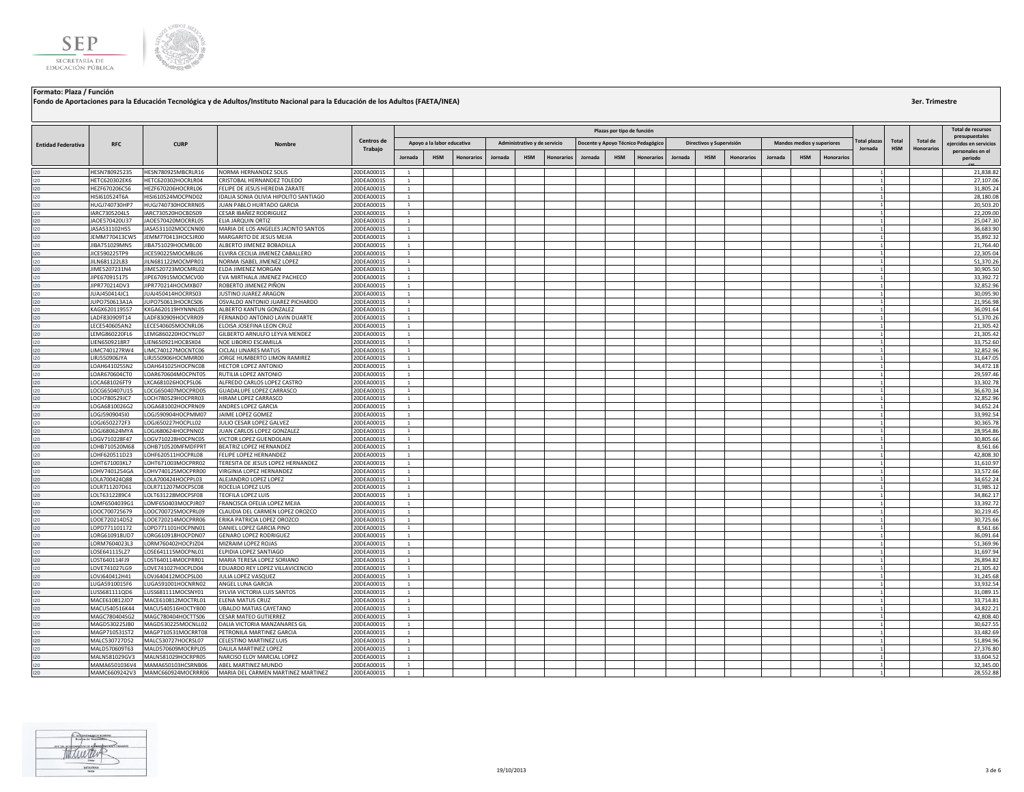

|                           |                                |                                          |                                                                         |                          |                              |                            |                   |         |                              |            |                                    | Plazas por tipo de función |                   |         |                          |                   |         |                            |            |             |            |                   | Total de recursos                          |
|---------------------------|--------------------------------|------------------------------------------|-------------------------------------------------------------------------|--------------------------|------------------------------|----------------------------|-------------------|---------|------------------------------|------------|------------------------------------|----------------------------|-------------------|---------|--------------------------|-------------------|---------|----------------------------|------------|-------------|------------|-------------------|--------------------------------------------|
|                           |                                |                                          |                                                                         | Centros de               |                              | Apoyo a la labor educativa |                   |         | Administrativo y de servicio |            | Docente y Apoyo Técnico Pedagógico |                            |                   |         | Directivos y Supervisión |                   |         | Mandos medios y superiores |            | otal plazas | Total      | <b>Total de</b>   | presupuestales                             |
| <b>Entidad Federativa</b> | <b>RFC</b>                     | <b>CURP</b>                              | Nombre                                                                  | Trabajo                  | lornada                      | <b>HSM</b>                 | <b>Honorarios</b> | Jornada | <b>HSM</b>                   | Honorarios | Jornada                            | <b>HSM</b>                 | <b>Honorarios</b> | Jornada | <b>HSM</b>               | <b>Honorarios</b> | Jornada | <b>HSM</b>                 | Honorarios | Jornada     | <b>HSM</b> | <b>Honorarios</b> | eiercidos en servicios<br>personales en el |
|                           |                                |                                          |                                                                         |                          |                              |                            |                   |         |                              |            |                                    |                            |                   |         |                          |                   |         |                            |            |             |            |                   | periodo                                    |
|                           | HESN780925235                  | HESN780925MBCRLR16                       | NORMA HERNANDEZ SOLIS                                                   | 20DEA0001S               | <sup>1</sup>                 |                            |                   |         |                              |            |                                    |                            |                   |         |                          |                   |         |                            |            |             |            |                   | 21,838.82                                  |
| 120                       | HETC620302EK6                  | HETC620302HOCRLR04                       | CRISTOBAL HERNANDEZ TOLEDO                                              | 20DEA0001S               | $\mathbf{1}$                 |                            |                   |         |                              |            |                                    |                            |                   |         |                          |                   |         |                            |            |             |            |                   | 27,107.06                                  |
| 120<br>120                | HEZF670206C56<br>HISI610524T6A | HEZF670206HOCRRL06<br>HISI610524MOCPND02 | FELIPE DE JESUS HEREDIA ZARATE<br>IDALIA SONIA OLIVIA HIPOLITO SANTIAGO | 20DEA0001S<br>20DEA0001S | <sup>1</sup>                 |                            |                   |         |                              |            |                                    |                            |                   |         |                          |                   |         |                            |            |             |            |                   | 31,805.24<br>28,180.08                     |
| 120                       | HUGJ740730HP7                  | HUGJ740730HOCRRN05                       | JUAN PABLO HURTADO GARCIA                                               | 20DEA0001S               | 1<br>$\mathbf{1}$            |                            |                   |         |                              |            |                                    |                            |                   |         |                          |                   |         |                            |            |             |            |                   | 20,503.20                                  |
| 120                       | IARC7305204L5                  | IARC730520HOCBDS09                       | CESAR IBAÑEZ RODRIGUEZ                                                  | 20DEA0001S               | $\mathbf{1}$                 |                            |                   |         |                              |            |                                    |                            |                   |         |                          |                   |         |                            |            |             |            |                   | 22,209.00                                  |
| 120                       | JA0E570420U37                  | JAOE570420MOCRRL05                       | ELIA JARQUIN ORTIZ                                                      | 20DEA0001S               | $\mathbf{1}$                 |                            |                   |         |                              |            |                                    |                            |                   |         |                          |                   |         |                            |            |             |            |                   | 25,047.30                                  |
| 120                       | JASA531102HS5                  | JASA531102MOCCNN00                       | MARIA DE LOS ANGELES JACINTO SANTOS                                     | 20DEA0001S               | $\mathbf{1}$                 |                            |                   |         |                              |            |                                    |                            |                   |         |                          |                   |         |                            |            |             |            |                   | 36,683.90                                  |
| 120                       | JEMM770413CW5                  | JEMM770413HOCSJR00                       | MARGARITO DE JESUS MEJIA                                                | 20DEA0001S               | $\mathbf{1}$                 |                            |                   |         |                              |            |                                    |                            |                   |         |                          |                   |         |                            |            |             |            |                   | 35.892.32                                  |
|                           | JIBA751029MN5                  | JIBA751029HOCMBL00                       | ALBERTO JIMENEZ BOBADILLA                                               | 20DEA0001S               | <sup>1</sup>                 |                            |                   |         |                              |            |                                    |                            |                   |         |                          |                   |         |                            |            |             |            |                   | 21,764.40                                  |
|                           | JICE590225TP9                  | JICE590225MOCMBL06                       | ELVIRA CECILIA JIMENEZ CABALLERO                                        | 20DEA0001S               | <sup>1</sup>                 |                            |                   |         |                              |            |                                    |                            |                   |         |                          |                   |         |                            |            |             |            |                   | 22,305.04                                  |
|                           | JILN681122L83                  | JILN681122MOCMPR01                       | NORMA ISABEL JIMENEZ LOPEZ                                              | 20DEA0001S               | $\mathbf{1}$                 |                            |                   |         |                              |            |                                    |                            |                   |         |                          |                   |         |                            |            |             |            |                   | 51,370.26                                  |
| 120                       | JIME5207231N4                  | JIME520723MOCMRL02                       | ELDA JIMENEZ MORGAN                                                     | 20DEA0001S               | $\mathbf{1}$                 |                            |                   |         |                              |            |                                    |                            |                   |         |                          |                   |         |                            |            |             |            |                   | 30,905.50                                  |
|                           | JIPE670915175                  | JIPE670915MOCMCV00                       | EVA MIRTHALA JIMENEZ PACHECO                                            | 20DEA0001S               | $\mathbf{1}$                 |                            |                   |         |                              |            |                                    |                            |                   |         |                          |                   |         |                            |            |             |            |                   | 33,392.72                                  |
| 120                       | JIPR770214DV3                  | JIPR770214HOCMXB07                       | ROBERTO JIMENEZ PIÑON                                                   | 20DEA0001S               | $\mathbf{1}$                 |                            |                   |         |                              |            |                                    |                            |                   |         |                          |                   |         |                            |            |             |            |                   | 32,852.96                                  |
|                           | JUAJ450414JC1                  | JUAJ450414HOCRRS03                       | <b>JUSTINO JUAREZ ARAGON</b>                                            | 20DEA0001S               | <sup>1</sup>                 |                            |                   |         |                              |            |                                    |                            |                   |         |                          |                   |         |                            |            |             |            |                   | 30,095.90                                  |
|                           | JUP0750613A1A<br>KAGX620119557 | JUPO750613HOCRCS06<br>KXGA620119HYNNNL05 | OSVALDO ANTONIO JUAREZ PICHARDO<br>ALBERTO KANTUN GONZALEZ              | 20DEA0001S<br>20DEA0001S | $\mathbf{1}$<br>$\mathbf{1}$ |                            |                   |         |                              |            |                                    |                            |                   |         |                          |                   |         |                            |            |             |            |                   | 21,956.98<br>36,091.64                     |
| 120                       | LADF830909T14                  | LADF830909HOCVRR09                       | FERNANDO ANTONIO LAVIN DUARTE                                           | 20DEA0001S               | $\mathbf{1}$                 |                            |                   |         |                              |            |                                    |                            |                   |         |                          |                   |         |                            |            |             |            |                   | 51,370.26                                  |
|                           | LECE540605AN2                  | LECE540605MOCNRL06                       | ELOISA JOSEFINA LEON CRUZ                                               | 20DEA0001S               | $\mathbf{1}$                 |                            |                   |         |                              |            |                                    |                            |                   |         |                          |                   |         |                            |            |             |            |                   | 21,305.42                                  |
|                           | LEMG860220FL6                  | LEMG860220HOCYNL07                       | GILBERTO ARNULFO LEYVA MENDEZ                                           | 20DEA0001S               | 1                            |                            |                   |         |                              |            |                                    |                            |                   |         |                          |                   |         |                            |            |             |            |                   | 21,305.42                                  |
|                           | LIEN6509218R7                  | LIEN650921HOCBSX04                       | NOE LIBORIO ESCAMILLA                                                   | 20DEA0001S               | $\overline{1}$               |                            |                   |         |                              |            |                                    |                            |                   |         |                          |                   |         |                            |            |             |            |                   | 33,752.60                                  |
|                           | LIMC740127RW4                  | LIMC740127MOCNTC06                       | CICLALI LINARES MATUS                                                   | 20DEA0001S               | 1                            |                            |                   |         |                              |            |                                    |                            |                   |         |                          |                   |         |                            |            |             |            |                   | 32,852.96                                  |
|                           | LIRJ550906JYA                  | LIRJ550906HOCMMR00                       | JORGE HUMBERTO LIMON RAMIREZ                                            | 20DEA0001S               | $\overline{1}$               |                            |                   |         |                              |            |                                    |                            |                   |         |                          |                   |         |                            |            |             |            |                   | 31,647.05                                  |
| 120                       | LOAH641025SN2                  | LOAH641025HOCPNC08                       | HECTOR LOPEZ ANTONIO                                                    | 20DEA0001S               | $\mathbf{1}$                 |                            |                   |         |                              |            |                                    |                            |                   |         |                          |                   |         |                            |            |             |            |                   | 34,472.18                                  |
|                           | LOAR670604CT0                  | LOAR670604MOCPNT05                       | RUTILIA LOPEZ ANTONIO                                                   | 20DEA0001S               | 1                            |                            |                   |         |                              |            |                                    |                            |                   |         |                          |                   |         |                            |            |             |            |                   | 29,597.46                                  |
|                           | LOCA681026FT9                  | LXCA681026HOCPSL06                       | ALFREDO CARLOS LOPEZ CASTRO                                             | 20DEA0001S               | $\mathbf{1}$                 |                            |                   |         |                              |            |                                    |                            |                   |         |                          |                   |         |                            |            |             |            |                   | 33,302.78                                  |
|                           | LOCG650407U15                  | LOCG650407MOCPRD05                       | <b>GUADALUPE LOPEZ CARRASCO</b>                                         | 20DEA0001S               | <sup>1</sup>                 |                            |                   |         |                              |            |                                    |                            |                   |         |                          |                   |         |                            |            |             |            |                   | 36,670.34                                  |
|                           | LOCH780529JC7                  | LOCH780529HOCPRR03                       | HIRAM LOPEZ CARRASCO                                                    | 20DEA0001S               | 1                            |                            |                   |         |                              |            |                                    |                            |                   |         |                          |                   |         |                            |            |             |            |                   | 32,852.96                                  |
|                           | LOGA6810026G2                  | LOGA681002HOCPRN09                       | ANDRES LOPEZ GARCIA                                                     | 20DEA0001S               | $\mathbf{1}$                 |                            |                   |         |                              |            |                                    |                            |                   |         |                          |                   |         |                            |            |             |            |                   | 34,652.24                                  |
|                           | LOGJ5909045I0                  | LOGJ590904HOCPMM07                       | JAIME LOPEZ GOMEZ                                                       | 20DEA0001S               | $\overline{1}$               |                            |                   |         |                              |            |                                    |                            |                   |         |                          |                   |         |                            |            |             |            |                   | 33,992.54                                  |
|                           | LOGJ6502272F3<br>LOGJ680624MYA | LOGJ650227HOCPLL02<br>LOGJ680624HOCPNN02 | JULIO CESAR LOPEZ GALVEZ<br>JUAN CARLOS LOPEZ GONZALEZ                  | 20DEA0001S<br>20DEA0001S | 1<br>$\mathbf{1}$            |                            |                   |         |                              |            |                                    |                            |                   |         |                          |                   |         |                            |            |             |            |                   | 30,365.78<br>28,954.86                     |
|                           | LOGV710228F47                  | LOGV710228HOCPNC05                       | VICTOR LOPEZ GUENDOLAIN                                                 | 20DEA0001S               | $\mathbf{1}$                 |                            |                   |         |                              |            |                                    |                            |                   |         |                          |                   |         |                            |            |             |            |                   | 30,805.66                                  |
|                           | LOHB710520M68                  | LOHB710520MFMDFPRT                       | BEATRIZ LOPEZ HERNANDEZ                                                 | 20DEA0001S               | 1                            |                            |                   |         |                              |            |                                    |                            |                   |         |                          |                   |         |                            |            |             |            |                   | 8,561.66                                   |
|                           | LOHF620511D23                  | LOHF620511HOCPRL08                       | FELIPE LOPEZ HERNANDEZ                                                  | 20DEA0001S               | $\mathbf{1}$                 |                            |                   |         |                              |            |                                    |                            |                   |         |                          |                   |         |                            |            |             |            |                   | 42,808.30                                  |
|                           | LOHT671003KL7                  | LOHT671003MOCPRR02                       | TERESITA DE JESUS LOPEZ HERNANDEZ                                       | 20DEA0001S               | $\mathbf{1}$                 |                            |                   |         |                              |            |                                    |                            |                   |         |                          |                   |         |                            |            |             |            |                   | 31,610.97                                  |
|                           | LOHV7401254GA                  | LOHV740125MOCPRR00                       | VIRGINIA LOPEZ HERNANDEZ                                                | 20DEA0001S               | 1                            |                            |                   |         |                              |            |                                    |                            |                   |         |                          |                   |         |                            |            |             |            |                   | 33,572.66                                  |
|                           | LOLA700424Q88                  | LOLA700424HOCPPL03                       | ALEJANDRO LOPEZ LOPEZ                                                   | 20DEA0001S               | $\mathbf{1}$                 |                            |                   |         |                              |            |                                    |                            |                   |         |                          |                   |         |                            |            |             |            |                   | 34,652.24                                  |
|                           | LOLR711207D61                  | LOLR711207MOCPSC08                       | ROCELIA LOPEZ LUIS                                                      | 20DEA0001S               | <sup>1</sup>                 |                            |                   |         |                              |            |                                    |                            |                   |         |                          |                   |         |                            |            |             |            |                   | 31,985.12                                  |
|                           | LOLT6312289C4                  | LOLT631228MOCPSF08                       | TEOFILA LOPEZ LUIS                                                      | 20DEA0001S               | 1                            |                            |                   |         |                              |            |                                    |                            |                   |         |                          |                   |         |                            |            |             |            |                   | 34,862.17                                  |
|                           | LOMF6504039G1                  | LOMF650403MOCPJR07                       | FRANCISCA OFELIA LOPEZ MEJIA                                            | 20DEA0001S               | $\overline{1}$               |                            |                   |         |                              |            |                                    |                            |                   |         |                          |                   |         |                            |            |             |            |                   | 33,392.72                                  |
|                           | LOOC700725679                  | LOOC700725MOCPRL09                       | CLAUDIA DEL CARMEN LOPEZ OROZCO                                         | 20DEA0001S               | $\overline{1}$               |                            |                   |         |                              |            |                                    |                            |                   |         |                          |                   |         |                            |            |             |            |                   | 30,219.45                                  |
|                           | LOOE720214D52                  | LOOE720214MOCPRR06                       | ERIKA PATRICIA LOPEZ OROZCO                                             | 20DEA0001S               | $\mathbf{1}$                 |                            |                   |         |                              |            |                                    |                            |                   |         |                          |                   |         |                            |            |             |            |                   | 30,725.66                                  |
|                           | LOPD771101172<br>LORG610918UD7 | LOPD771101HOCPNN01<br>LORG610918HOCPDN07 | DANIEL LOPEZ GARCIA PINO<br><b>GENARO LOPEZ RODRIGUEZ</b>               | 20DEA0001S<br>20DEA0001S | <sup>1</sup><br>$\mathbf{1}$ |                            |                   |         |                              |            |                                    |                            |                   |         |                          |                   |         |                            |            |             |            |                   | 8,561.66<br>36.091.64                      |
|                           | LORM7604023L3                  | LORM760402HOCPJZ04                       | MIZRAIM LOPEZ ROJAS                                                     | 20DEA0001S               | <sup>1</sup>                 |                            |                   |         |                              |            |                                    |                            |                   |         |                          |                   |         |                            |            |             |            |                   | 51,369.96                                  |
|                           | LOSE641115LZ7                  | LOSE641115MOCPNL01                       | ELPIDIA LOPEZ SANTIAGO                                                  | 20DEA0001S               | <sup>1</sup>                 |                            |                   |         |                              |            |                                    |                            |                   |         |                          |                   |         |                            |            |             |            |                   | 31,697.94                                  |
|                           | LOST640114FJ9                  | LOST640114MOCPRR01                       | MARIA TERESA LOPEZ SORIANO                                              | 20DEA0001S               | $\overline{1}$               |                            |                   |         |                              |            |                                    |                            |                   |         |                          |                   |         |                            |            |             |            |                   | 26,894.82                                  |
|                           | LOVE741027LG9                  | LOVE741027HOCPLD04                       | EDUARDO REY LOPEZ VILLAVICENCIO                                         | 20DEA0001S               | $\mathbf{1}$                 |                            |                   |         |                              |            |                                    |                            |                   |         |                          |                   |         |                            |            |             |            |                   | 21,305.42                                  |
|                           | LOVJ640412H41                  | LOVJ640412MOCPSL00                       | JULIA LOPEZ VASQUEZ                                                     | 20DEA0001S               | 1                            |                            |                   |         |                              |            |                                    |                            |                   |         |                          |                   |         |                            |            |             |            |                   | 31,245.68                                  |
| 120                       | LUGA5910015F6                  | LUGA591001HOCNRN02                       | ANGEL LUNA GARCIA                                                       | 20DEA0001S               | <sup>1</sup>                 |                            |                   |         |                              |            |                                    |                            |                   |         |                          |                   |         |                            |            |             |            |                   | 33,932.54                                  |
|                           | LUSS681111QD6                  | LUSS681111MOCSNY01                       | SYLVIA VICTORIA LUIS SANTOS                                             | 20DEA0001S               | 1                            |                            |                   |         |                              |            |                                    |                            |                   |         |                          |                   |         |                            |            |             |            |                   | 31,089.15                                  |
|                           | MACE610812JD7                  | MACE610812MOCTRL01                       | ELENA MATUS CRUZ                                                        | 20DEA0001S               | <sup>1</sup>                 |                            |                   |         |                              |            |                                    |                            |                   |         |                          |                   |         |                            |            |             |            |                   | 33,714.81                                  |
| 120                       | MACU540516K44                  | MACU540516HOCTYB00                       | UBALDO MATIAS CAYETANO                                                  | 20DEA0001S               | $\mathbf{1}$                 |                            |                   |         |                              |            |                                    |                            |                   |         |                          |                   |         |                            |            |             |            |                   | 34,822.21                                  |
|                           | MAGC780404SG2                  | MAGC780404HOCTTS06                       | CESAR MATEO GUTIERREZ                                                   | 20DEA0001S               | $\mathbf{1}$                 |                            |                   |         |                              |            |                                    |                            |                   |         |                          |                   |         |                            |            |             |            |                   | 42,808.40                                  |
|                           | MAGD530225JB0                  | MAGD530225MOCNLL02                       | DALIA VICTORIA MANZANARES GIL                                           | 20DEA0001S               | $\mathbf{1}$                 |                            |                   |         |                              |            |                                    |                            |                   |         |                          |                   |         |                            |            |             |            |                   | 30,627.55                                  |
|                           | MAGP710531ST2                  | MAGP710531MOCRRT08                       | PETRONILA MARTINEZ GARCIA                                               | 20DEA0001S               | $\overline{1}$               |                            |                   |         |                              |            |                                    |                            |                   |         |                          |                   |         |                            |            |             |            |                   | 33,482.69                                  |
|                           | MALC530727D52                  | MALC530727HOCRSL07                       | CELESTINO MARTINEZ LUIS                                                 | 20DEA0001S               | $\mathbf{1}$                 |                            |                   |         |                              |            |                                    |                            |                   |         |                          |                   |         |                            |            |             |            |                   | 51,894.96                                  |
|                           | MALD570609T63<br>MALN581029GV3 | MALD570609MOCRPL05<br>MALN581029HOCRPR05 | DALILA MARTINEZ LOPEZ<br>NARCISO ELOY MARCIAL LOPEZ                     | 20DEA0001S<br>20DEA0001S | <sup>1</sup><br>$\mathbf{1}$ |                            |                   |         |                              |            |                                    |                            |                   |         |                          |                   |         |                            |            |             |            |                   | 27,376.80<br>33,604.52                     |
|                           | MAMA6501036V4                  | MAMA650103HCSRNB06                       | ABEL MARTINEZ MUNDO                                                     | 20DEA0001S               | $\mathbf{1}$                 |                            |                   |         |                              |            |                                    |                            |                   |         |                          |                   |         |                            |            |             |            |                   | 32,345.00                                  |
| 120                       |                                | MAMC6609242V3 MAMC660924MOCRRR06         | MARIA DEL CARMEN MARTINEZ MARTINEZ                                      | 20DEA0001S               | $\overline{1}$               |                            |                   |         |                              |            |                                    |                            |                   |         |                          |                   |         |                            |            |             |            |                   | 28,552.88                                  |

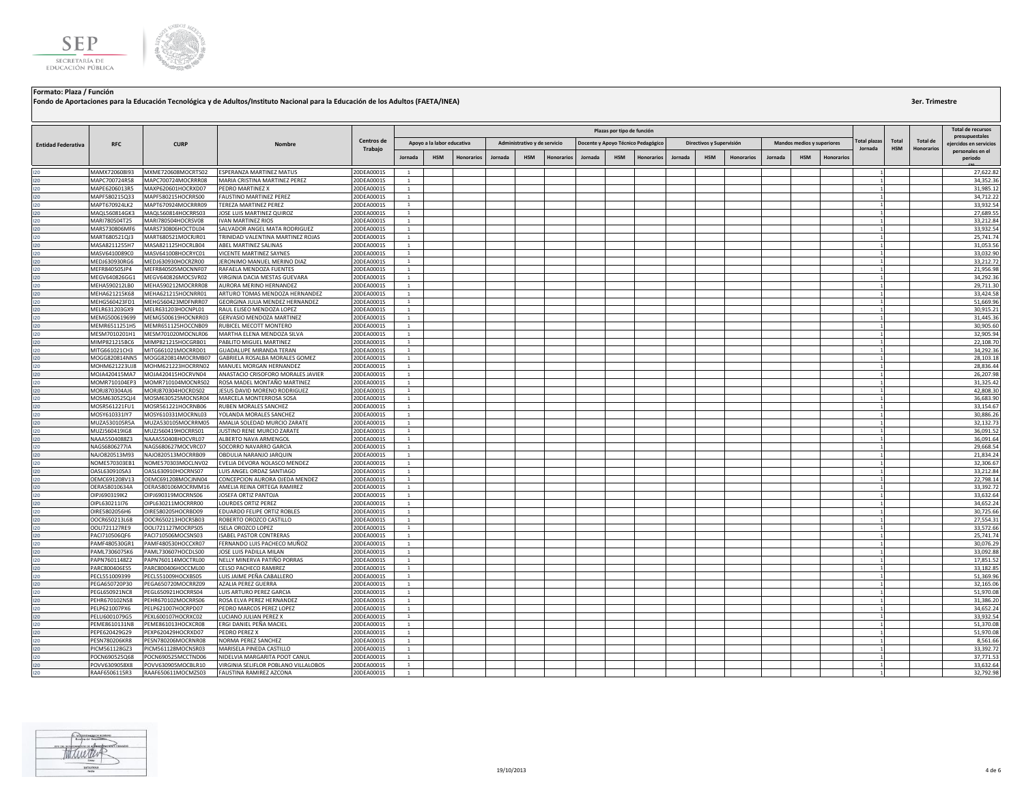

|                           |                                |                                          |                                                            |                          |                              |                            |                   |         |                              |                   |                                    | Plazas por tipo de función |                   |         |                          |                   |         |                            |            |             |            |                   | Total de recursos                          |
|---------------------------|--------------------------------|------------------------------------------|------------------------------------------------------------|--------------------------|------------------------------|----------------------------|-------------------|---------|------------------------------|-------------------|------------------------------------|----------------------------|-------------------|---------|--------------------------|-------------------|---------|----------------------------|------------|-------------|------------|-------------------|--------------------------------------------|
|                           |                                |                                          |                                                            | Centros de               |                              |                            |                   |         |                              |                   |                                    |                            |                   |         |                          |                   |         |                            |            | otal plazas | Total      | <b>Total de</b>   | presupuestales                             |
| <b>Entidad Federativa</b> | <b>RFC</b>                     | <b>CURP</b>                              | Nombre                                                     | Trabajo                  |                              | Apoyo a la labor educativa |                   |         | Administrativo y de servicio |                   | Docente y Apoyo Técnico Pedagógico |                            |                   |         | Directivos y Supervisión |                   |         | Mandos medios y superiores |            | Jornada     | <b>HSM</b> | <b>Honorarios</b> | eiercidos en servicios<br>personales en el |
|                           |                                |                                          |                                                            |                          | lornada                      | <b>HSM</b>                 | <b>Honorarios</b> | Jornada | <b>HSM</b>                   | <b>Honorarios</b> | Jornada                            | <b>HSM</b>                 | <b>Honorarios</b> | Jornada | <b>HSM</b>               | <b>Honorarios</b> | Jornada | <b>HSM</b>                 | Honorarios |             |            |                   | periodo                                    |
|                           | MAMX720608I93                  | MXME720608MOCRTS02                       | <b>ESPERANZA MARTINEZ MATUS</b>                            | 20DEA0001S               | <sup>1</sup>                 |                            |                   |         |                              |                   |                                    |                            |                   |         |                          |                   |         |                            |            |             |            |                   | 27,622.82                                  |
| 120                       | MAPC700724R58                  | MAPC700724MOCRRR08                       | MARIA CRISTINA MARTINEZ PEREZ                              | 20DEA0001S               | $\mathbf{1}$                 |                            |                   |         |                              |                   |                                    |                            |                   |         |                          |                   |         |                            |            |             |            |                   | 34,352.36                                  |
|                           | MAPE6206013R5                  | MAXP620601HOCRXD07                       | PEDRO MARTINEZ X                                           | 20DEA0001S               | <sup>1</sup>                 |                            |                   |         |                              |                   |                                    |                            |                   |         |                          |                   |         |                            |            |             |            |                   | 31,985.12                                  |
|                           | MAPF580215Q33<br>MAPT670924LK2 | MAPF580215HOCRRS00<br>MAPT670924MOCRRR09 | <b>FAUSTINO MARTINEZ PEREZ</b><br>TEREZA MARTINEZ PEREZ    | 20DEA0001S<br>20DEA0001S | 1<br>$\overline{1}$          |                            |                   |         |                              |                   |                                    |                            |                   |         |                          |                   |         |                            |            |             |            |                   | 34,712.22<br>33,932.54                     |
|                           | MAQL560814GK3                  | MAQL560814HOCRRS03                       | JOSE LUIS MARTINEZ QUIROZ                                  | 20DEA0001S               | $\mathbf{1}$                 |                            |                   |         |                              |                   |                                    |                            |                   |         |                          |                   |         |                            |            |             |            |                   | 27,689.55                                  |
|                           | MARI780504T25                  | MARI780504HOCRSV08                       | <b>IVAN MARTINEZ RIOS</b>                                  | 20DEA0001S               | $\mathbf{1}$                 |                            |                   |         |                              |                   |                                    |                            |                   |         |                          |                   |         |                            |            |             |            |                   | 33,212.84                                  |
|                           | MARS730806MF6                  | MARS730806HOCTDL04                       | SALVADOR ANGEL MATA RODRIGUEZ                              | 20DEA0001S               | $\mathbf{1}$                 |                            |                   |         |                              |                   |                                    |                            |                   |         |                          |                   |         |                            |            |             |            |                   | 33,932.54                                  |
|                           | MART680521QJ3                  | MART680521MOCRJR01                       | TRINIDAD VALENTINA MARTINEZ ROJAS                          | 20DEA0001S               | $\mathbf{1}$                 |                            |                   |         |                              |                   |                                    |                            |                   |         |                          |                   |         |                            |            |             |            |                   | 25,741.74                                  |
|                           | MASA8211255H7                  | MASA821125HOCRLB04                       | ABEL MARTINEZ SALINAS                                      | 20DEA0001S               | $\mathbf{1}$                 |                            |                   |         |                              |                   |                                    |                            |                   |         |                          |                   |         |                            |            |             |            |                   | 31,053.56                                  |
|                           | MASV6410089C0<br>MEDJ630930RG6 | MASV641008HOCRYC01<br>MEDJ630930HOCRZR00 | VICENTE MARTINEZ SAYNES<br>JERONIMO MANUEL MERINO DIAZ     | 20DEA0001S<br>20DEA0001S | 1<br>$\mathbf{1}$            |                            |                   |         |                              |                   |                                    |                            |                   |         |                          |                   |         |                            |            |             |            |                   | 33,032.90<br>33,212.72                     |
|                           | MEFR840505JP4                  | MEFR840505MOCNNF07                       | RAFAELA MENDOZA FUENTES                                    | 20DEA0001S               | 1                            |                            |                   |         |                              |                   |                                    |                            |                   |         |                          |                   |         |                            |            |             |            |                   | 21,956.98                                  |
|                           | MEGV640826GG1                  | MEGV640826MOCSVR02                       | VIRGINIA DACIA MESTAS GUEVARA                              | 20DEA0001S               | 1                            |                            |                   |         |                              |                   |                                    |                            |                   |         |                          |                   |         |                            |            |             |            |                   | 34,292.36                                  |
|                           | MEHA590212LB0                  | MEHA590212MOCRRR08                       | AURORA MERINO HERNANDEZ                                    | 20DEA0001S               | $\mathbf{1}$                 |                            |                   |         |                              |                   |                                    |                            |                   |         |                          |                   |         |                            |            |             |            |                   | 29,711.30                                  |
|                           | MEHA621215K68                  | MEHA621215HOCNRR01                       | ARTURO TOMAS MENDOZA HERNANDEZ                             | 20DEA0001S               | 1                            |                            |                   |         |                              |                   |                                    |                            |                   |         |                          |                   |         |                            |            |             |            |                   | 33,424.58                                  |
|                           | MEHG560423FD1                  | MEHG560423MDFNRR07                       | GEORGINA JULIA MENDEZ HERNANDEZ                            | 20DEA0001S               | <sup>1</sup>                 |                            |                   |         |                              |                   |                                    |                            |                   |         |                          |                   |         |                            |            |             |            |                   | 51,669.96                                  |
| 120                       | MELR631203GX9                  | MELR631203HOCNPL01                       | RAUL ELISEO MENDOZA LOPEZ                                  | 20DEA0001S               | $\mathbf{1}$                 |                            |                   |         |                              |                   |                                    |                            |                   |         |                          |                   |         |                            |            |             |            |                   | 30,915.21                                  |
|                           | MEMG500619699                  | MEMG500619HOCNRR03                       | GERVASIO MENDOZA MARTINEZ                                  | 20DEA0001S               | $\mathbf{1}$                 |                            |                   |         |                              |                   |                                    |                            |                   |         |                          |                   |         |                            |            |             |            |                   | 31,445.36                                  |
|                           | MEMR6511251H5                  | MEMR651125HOCCNB09                       | RUBICEL MECOTT MONTERO                                     | 20DEA0001S               | $\mathbf{1}$                 |                            |                   |         |                              |                   |                                    |                            |                   |         |                          |                   |         |                            |            |             |            |                   | 30,905.60                                  |
|                           | MESM7010201H1                  | MESM701020MOCNLR06                       | MARTHA ELENA MENDOZA SILVA                                 | 20DEA0001S               | <sup>1</sup>                 |                            |                   |         |                              |                   |                                    |                            |                   |         |                          |                   |         |                            |            |             |            |                   | 32.905.94<br>22,108.70                     |
|                           | MIMP821215BC6<br>MITG661021CH3 | MIMP821215HOCGRB01<br>MITG661021MOCRRD01 | PABLITO MIGUEL MARTINEZ<br><b>GUADALUPE MIRANDA TERAN</b>  | 20DEA0001S<br>20DEA0001S | 1<br>$\mathbf{1}$            |                            |                   |         |                              |                   |                                    |                            |                   |         |                          |                   |         |                            |            |             |            |                   | 34,292.36                                  |
|                           | MOGG820814NN5                  | MOGG820814MOCRMB07                       | GABRIELA ROSALBA MORALES GOMEZ                             | 20DEA0001S               | $\mathbf{1}$                 |                            |                   |         |                              |                   |                                    |                            |                   |         |                          |                   |         |                            |            |             |            |                   | 28,103.18                                  |
|                           | MOHM621223UJ8                  | MOHM621223HOCRRN02                       | MANUEL MORGAN HERNANDEZ                                    | 20DEA0001S               | $1\,$                        |                            |                   |         |                              |                   |                                    |                            |                   |         |                          |                   |         |                            |            |             |            |                   | 28,836.44                                  |
|                           | MOJA420415MA7                  | MOJA420415HOCRVN04                       | ANASTACIO CRISOFORO MORALES JAVIER                         | 20DEA0001S               | $\mathbf{1}$                 |                            |                   |         |                              |                   |                                    |                            |                   |         |                          |                   |         |                            |            |             |            |                   | 26,207.98                                  |
|                           | MOMR710104EP3                  | MOMR710104MOCNRS02                       | ROSA MADEL MONTAÑO MARTINEZ                                | 20DEA0001S               | <sup>1</sup>                 |                            |                   |         |                              |                   |                                    |                            |                   |         |                          |                   |         |                            |            |             |            |                   | 31.325.42                                  |
|                           | MORJ870304AJ6                  | MORJ870304HOCRDS02                       | JESUS DAVID MORENO RODRIGUEZ                               | 20DEA0001S               | 1                            |                            |                   |         |                              |                   |                                    |                            |                   |         |                          |                   |         |                            |            |             |            |                   | 42,808.30                                  |
|                           | MOSM630525QJ4                  | MOSM630525MOCNSR04                       | MARCELA MONTERROSA SOSA                                    | 20DEA0001S               | <sup>1</sup>                 |                            |                   |         |                              |                   |                                    |                            |                   |         |                          |                   |         |                            |            |             |            |                   | 36,683.90                                  |
|                           | MOSR561221FU1                  | MOSR561221HOCRNB06                       | RUBEN MORALES SANCHEZ                                      | 20DEA0001S               | $\mathbf{1}$                 |                            |                   |         |                              |                   |                                    |                            |                   |         |                          |                   |         |                            |            |             |            |                   | 33,154.67                                  |
|                           | MOSY610331IY7                  | MOSY610331MOCRNL03                       | YOLANDA MORALES SANCHEZ                                    | 20DEA0001S               | $\mathbf{1}$                 |                            |                   |         |                              |                   |                                    |                            |                   |         |                          |                   |         |                            |            |             |            |                   | 30,886.26<br>32,132.73                     |
|                           | MUZA530105R5A<br>MUZJ560419IG8 | MUZA530105MOCRRM05<br>MUZJ560419HOCRRS01 | AMALIA SOLEDAD MURCIO ZARATI<br>JUSTINO RENE MURCIO ZARATE | 20DEA0001S<br>20DEA0001S | $\mathbf{1}$<br><sup>1</sup> |                            |                   |         |                              |                   |                                    |                            |                   |         |                          |                   |         |                            |            |             |            |                   | 36,091.52                                  |
|                           | NAAA5504088Z3                  | NAAA550408HOCVRL07                       | ALBERTO NAVA ARMENGOL                                      | 20DEA0001S               | <sup>1</sup>                 |                            |                   |         |                              |                   |                                    |                            |                   |         |                          |                   |         |                            |            |             |            |                   | 36,091.64                                  |
|                           | NAGS6806277IA                  | NAGS680627MOCVRC07                       | SOCORRO NAVARRO GARCIA                                     | 20DEA0001S               | 1                            |                            |                   |         |                              |                   |                                    |                            |                   |         |                          |                   |         |                            |            |             |            |                   | 29,668.54                                  |
|                           | NAJ0820513M93                  | NAJO820513MOCRRB09                       | OBDULIA NARANJO JARQUIN                                    | 20DEA0001S               | $\mathbf{1}$                 |                            |                   |         |                              |                   |                                    |                            |                   |         |                          |                   |         |                            |            |             |            |                   | 21,834.24                                  |
|                           | NOME570303EB1                  | NOME570303MOCLNV02                       | EVELIA DEVORA NOLASCO MENDEZ                               | 20DEA0001S               | $1$ $\,$                     |                            |                   |         |                              |                   |                                    |                            |                   |         |                          |                   |         |                            |            |             |            |                   | 32,306.67                                  |
|                           | OASL630910SA3                  | OASL630910HOCRNS07                       | LUIS ANGEL ORDAZ SANTIAGO                                  | 20DEA0001S               | $\mathbf{1}$                 |                            |                   |         |                              |                   |                                    |                            |                   |         |                          |                   |         |                            |            |             |            |                   | 33,212.84                                  |
|                           | OEMC691208V13                  | OEMC691208MOCJNN04                       | CONCEPCION AURORA OJEDA MENDEZ                             | 20DEA0001S               | $\mathbf{1}$                 |                            |                   |         |                              |                   |                                    |                            |                   |         |                          |                   |         |                            |            |             |            |                   | 22,798.14                                  |
|                           | OERA58010634A                  | OERA580106MOCRMM16                       | AMELIA REINA ORTEGA RAMIREZ                                | 20DEA0001S               | <sup>1</sup>                 |                            |                   |         |                              |                   |                                    |                            |                   |         |                          |                   |         |                            |            |             |            |                   | 33,392.72                                  |
|                           | OIPJ690319IK2                  | OIPJ690319MOCRNS06                       | JOSEFA ORTIZ PANTOJA<br><b>LOURDES ORTIZ PEREZ</b>         | 20DEA0001S<br>20DEA0001S | <sup>1</sup>                 |                            |                   |         |                              |                   |                                    |                            |                   |         |                          |                   |         |                            |            |             |            |                   | 33,632.64<br>34,652.24                     |
|                           | OIPL630211I76<br>OIRE5802056H6 | OIPL630211MOCRRR00<br>OIRE580205HOCRBD09 | EDUARDO FELIPE ORTIZ ROBLES                                | 20DEA0001S               | $\mathbf{1}$<br>$1$ $\,$     |                            |                   |         |                              |                   |                                    |                            |                   |         |                          |                   |         |                            |            |             |            |                   | 30,725.66                                  |
| 120                       | OOCR650213L68                  | OOCR650213HOCRSB03                       | ROBERTO OROZCO CASTILLO                                    | 20DEA0001S               | $\mathbf{1}$                 |                            |                   |         |                              |                   |                                    |                            |                   |         |                          |                   |         |                            |            |             |            |                   | 27,554.31                                  |
|                           | OOLI721127RE9                  | OOLI721127MOCRPS05                       | <b>ISELA OROZCO LOPEZ</b>                                  | 20DEA0001S               | <sup>1</sup>                 |                            |                   |         |                              |                   |                                    |                            |                   |         |                          |                   |         |                            |            |             |            |                   | 33,572.66                                  |
|                           | PAC1710506QF6                  | PACI710506MOCSNS03                       | <b>ISABEL PASTOR CONTRERAS</b>                             | 20DEA0001S               | <sup>1</sup>                 |                            |                   |         |                              |                   |                                    |                            |                   |         |                          |                   |         |                            |            |             |            |                   | 25,741.74                                  |
|                           | PAMF480530GR1                  | PAMF480530HOCCXR07                       | FERNANDO LUIS PACHECO MUÑOZ                                | 20DEA0001S               | <sup>1</sup>                 |                            |                   |         |                              |                   |                                    |                            |                   |         |                          |                   |         |                            |            |             |            |                   | 30,076.29                                  |
|                           | PAML7306075K6                  | PAML730607HOCDLS00                       | JOSE LUIS PADILLA MILAN                                    | 20DEA0001S               | $\mathbf{1}$                 |                            |                   |         |                              |                   |                                    |                            |                   |         |                          |                   |         |                            |            |             |            |                   | 33,092.88                                  |
|                           | PAPN7601148Z2                  | PAPN760114MOCTRL00                       | NELLY MINERVA PATIÑO PORRAS                                | 20DEA0001S               | $\mathbf{1}$                 |                            |                   |         |                              |                   |                                    |                            |                   |         |                          |                   |         |                            |            |             |            |                   | 17,851.52                                  |
|                           | PARC800406ES5                  | PARC800406HOCCML00                       | CELSO PACHECO RAMIREZ                                      | 20DEA0001S               | $\mathbf{1}$                 |                            |                   |         |                              |                   |                                    |                            |                   |         |                          |                   |         |                            |            |             |            |                   | 33,182.85                                  |
| 120                       | PECL551009399<br>PEGA650720P30 | PECL551009HOCXBS05<br>PEGA650720MOCRRZ09 | LUIS JAIME PEÑA CABALLERO<br>AZALIA PEREZ GUERRA           | 20DEA0001S<br>20DEA0001S | $\mathbf{1}$<br><sup>1</sup> |                            |                   |         |                              |                   |                                    |                            |                   |         |                          |                   |         |                            |            |             |            |                   | 51,369.96<br>32,165.06                     |
|                           | PEGL650921NC8                  | PEGL650921HOCRRS04                       | LUIS ARTURO PEREZ GARCIA                                   | 20DEA0001S               | 1                            |                            |                   |         |                              |                   |                                    |                            |                   |         |                          |                   |         |                            |            |             |            |                   | 51,970.08                                  |
|                           | PEHR670102NS8                  | PEHR670102MOCRRS06                       | ROSA ELVA PEREZ HERNANDEZ                                  | 20DEA0001S               | $\mathbf{1}$                 |                            |                   |         |                              |                   |                                    |                            |                   |         |                          |                   |         |                            |            |             |            |                   | 31,386.20                                  |
| 120                       | PELP621007PX6                  | PELP621007HOCRPD07                       | PEDRO MARCOS PEREZ LOPEZ                                   | 20DEA0001S               | $\mathbf{1}$                 |                            |                   |         |                              |                   |                                    |                            |                   |         |                          |                   |         |                            |            |             |            |                   | 34,652.24                                  |
| 120                       | PELU6001079G5                  | PEXL600107HOCRXC02                       | LUCIANO JULIAN PEREZ X                                     | 20DEA0001S               | $\mathbf{1}$                 |                            |                   |         |                              |                   |                                    |                            |                   |         |                          |                   |         |                            |            |             |            |                   | 33,932.54                                  |
|                           | PEME8610131N8                  | PEME861013HOCXCR08                       | ERGI DANIEL PEÑA MACIEL                                    | 20DEA0001S               | 1                            |                            |                   |         |                              |                   |                                    |                            |                   |         |                          |                   |         |                            |            |             |            |                   | 51,370.08                                  |
|                           | PEPE620429G29                  | PEXP620429HOCRXD07                       | PEDRO PEREZ X                                              | 20DEA0001S               | <sup>1</sup>                 |                            |                   |         |                              |                   |                                    |                            |                   |         |                          |                   |         |                            |            |             |            |                   | 51,970.08                                  |
|                           | <b>PESN780206KR8</b>           | PESN780206MOCRNR08                       | NORMA PEREZ SANCHEZ                                        | 20DEA0001S               | <sup>1</sup>                 |                            |                   |         |                              |                   |                                    |                            |                   |         |                          |                   |         |                            |            |             |            |                   | 8,561.66                                   |
|                           | PICM561128GZ3                  | PICM561128MOCNSR03<br>POCN690525MCCTND06 | MARISELA PINEDA CASTILLO<br>NIDELVIA MARGARITA POOT CANUL  | 20DEA0001S<br>20DEA0001S | <sup>1</sup><br>$\mathbf{1}$ |                            |                   |         |                              |                   |                                    |                            |                   |         |                          |                   |         |                            |            |             |            |                   | 33,392.72<br>37,771.53                     |
|                           | POCN690525Q68<br>POVV6309058X8 | POVV630905MOCBLR10                       | VIRGINIA SELIFLOR POBLANO VILLALOBOS                       | 20DEA0001S               | $\mathbf{1}$                 |                            |                   |         |                              |                   |                                    |                            |                   |         |                          |                   |         |                            |            |             |            |                   | 33,632.64                                  |
| 120                       | RAAF6506115R3                  | RAAF650611MOCMZS03                       | FAUSTINA RAMIREZ AZCONA                                    | 20DEA0001S               | $\overline{1}$               |                            |                   |         |                              |                   |                                    |                            |                   |         |                          |                   |         |                            |            |             |            |                   | 32,792.98                                  |

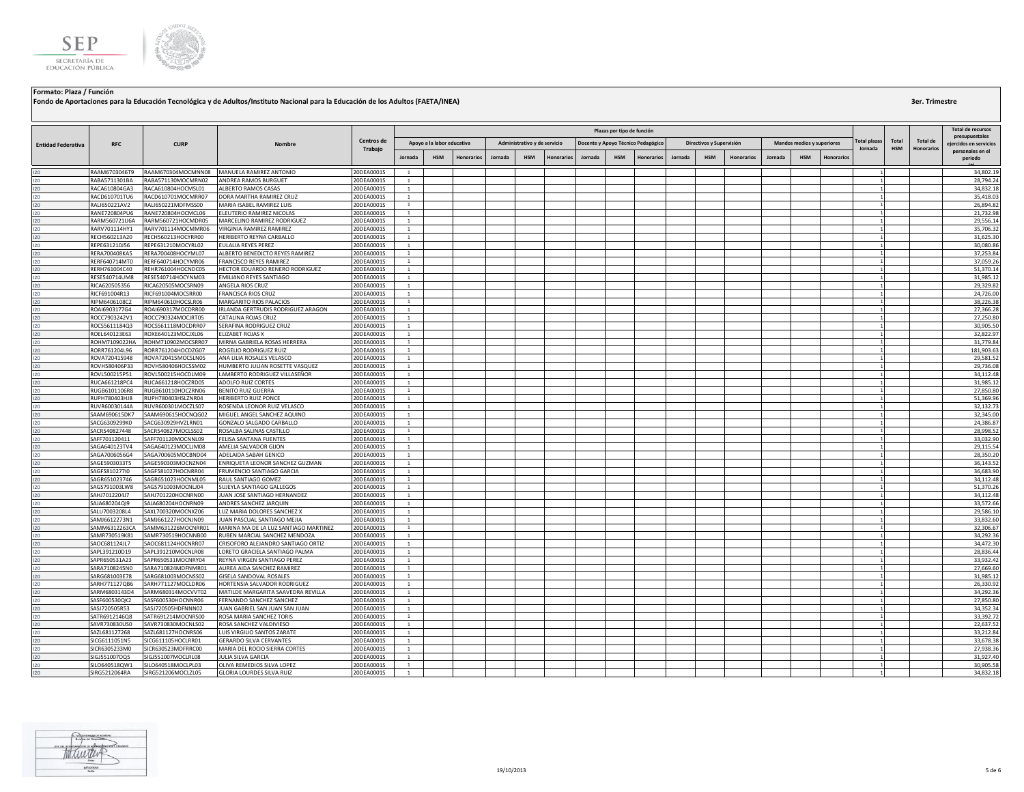

|                           |                                |                                          |                                                                 |                          |                                  |                            |                   |         |                              |                   |         |                            |                                    |         |                          |                   |         |                            |            |                                |                     |                                      | <b>Total de recursos</b>    |
|---------------------------|--------------------------------|------------------------------------------|-----------------------------------------------------------------|--------------------------|----------------------------------|----------------------------|-------------------|---------|------------------------------|-------------------|---------|----------------------------|------------------------------------|---------|--------------------------|-------------------|---------|----------------------------|------------|--------------------------------|---------------------|--------------------------------------|-----------------------------|
|                           |                                |                                          |                                                                 |                          |                                  |                            |                   |         |                              |                   |         | Plazas por tipo de función |                                    |         |                          |                   |         |                            |            |                                |                     |                                      | presupuestales              |
| <b>Entidad Federativa</b> | <b>RFC</b>                     | <b>CURP</b>                              | Nombre                                                          | Centros de<br>Trabajo    |                                  | Apoyo a la labor educativa |                   |         | Administrativo y de servicio |                   |         |                            | Docente y Apoyo Técnico Pedagógico |         | Directivos y Supervisión |                   |         | Mandos medios y superiores |            | <b>Total plazas</b><br>Jornada | Total<br><b>HSM</b> | <b>Total de</b><br><b>Honorarios</b> | eiercidos en servicios      |
|                           |                                |                                          |                                                                 |                          | Jornada                          | <b>HSM</b>                 | <b>Honorarios</b> | Jornada | <b>HSM</b>                   | <b>Honorarios</b> | Jornada | <b>HSM</b>                 | <b>Honorarios</b>                  | Jornada | <b>HSM</b>               | <b>Honorarios</b> | Jornada | <b>HSM</b>                 | Honorarios |                                |                     |                                      | personales en el<br>periodo |
|                           | RAAM6703046T9                  | RAAM670304MOCMNN08                       | MANUELA RAMIREZ ANTONIO                                         | 20DEA0001S               | $\overline{1}$                   |                            |                   |         |                              |                   |         |                            |                                    |         |                          |                   |         |                            |            |                                |                     |                                      | 34,802.19                   |
| 20 <sub>1</sub>           | RABA5711301BA                  | RABA571130MOCMRN02                       | ANDREA RAMOS BURGUET                                            | 20DEA0001S               | <sup>1</sup>                     |                            |                   |         |                              |                   |         |                            |                                    |         |                          |                   |         |                            |            |                                |                     |                                      | 28,794.24                   |
| 20                        | RACA610804GA3                  | RACA610804HOCMSL01                       | ALBERTO RAMOS CASAS                                             | 20DEA0001S               | $\mathbf{1}$                     |                            |                   |         |                              |                   |         |                            |                                    |         |                          |                   |         |                            |            |                                |                     |                                      | 34,832.18                   |
| $120 -$                   | RACD610701TU6                  | RACD610701MOCMRR07                       | DORA MARTHA RAMIREZ CRUZ                                        | 20DEA0001S               | $\mathbf{1}$                     |                            |                   |         |                              |                   |         |                            |                                    |         |                          |                   |         |                            |            |                                |                     |                                      | 35.418.03                   |
| $120 -$                   | RALI650221AV2                  | RALI650221MDFMSS00                       | MARIA ISABEL RAMIREZ LUIS                                       | 20DEA0001S               | $\overline{1}$                   |                            |                   |         |                              |                   |         |                            |                                    |         |                          |                   |         |                            |            |                                |                     |                                      | 26,894.82                   |
| $120 -$<br>120            | RANE720804PU6<br>RARM560721U6A | RANE720804HOCMCL06<br>RARM560721HOCMDR05 | ELEUTERIO RAMIREZ NICOLAS<br>MARCELINO RAMIREZ RODRIGUEZ        | 20DEA0001S<br>20DEA0001S | <sup>1</sup><br>$\overline{1}$   |                            |                   |         |                              |                   |         |                            |                                    |         |                          |                   |         |                            |            |                                |                     |                                      | 21,732.98<br>29,556.14      |
| $120 -$                   | RARV701114HY1                  | RARV701114MOCMMR06                       | VIRGINIA RAMIREZ RAMIREZ                                        | 20DEA0001S               | <sup>1</sup>                     |                            |                   |         |                              |                   |         |                            |                                    |         |                          |                   |         |                            |            |                                |                     |                                      | 35,706.32                   |
| 20 <sub>1</sub>           | RECH560213A20                  | RECH560213HOCYRR00                       | HERIBERTO REYNA CARBALLO                                        | 20DEA0001S               | <sup>1</sup>                     |                            |                   |         |                              |                   |         |                            |                                    |         |                          |                   |         |                            |            |                                |                     |                                      | 31,625.30                   |
| 12O.                      | REPE631210J56                  | REPE631210MOCYRL02                       | EULALIA REYES PEREZ                                             | 20DEA0001S               | $\overline{1}$                   |                            |                   |         |                              |                   |         |                            |                                    |         |                          |                   |         |                            |            |                                |                     |                                      | 30.080.86                   |
| 120                       | RERA700408KA5                  | RERA700408HOCYML07                       | ALBERTO BENEDICTO REYES RAMIREZ                                 | 20DEA0001S               | <sup>1</sup>                     |                            |                   |         |                              |                   |         |                            |                                    |         |                          |                   |         |                            |            |                                |                     |                                      | 37,253.84                   |
| 120                       | RERF640714MT0                  | RERF640714HOCYMR06                       | FRANCISCO REYES RAMIREZ                                         | 20DEA0001S               | $\mathbf{1}$                     |                            |                   |         |                              |                   |         |                            |                                    |         |                          |                   |         |                            |            |                                |                     |                                      | 37,059.26                   |
| 120                       | RERH761004C40                  | REHR761004HOCNDC05                       | HECTOR EDUARDO RENERO RODRIGUEZ                                 | 20DEA0001S               | $\overline{1}$<br>$\mathbf{1}$   |                            |                   |         |                              |                   |         |                            |                                    |         |                          |                   |         |                            |            |                                |                     |                                      | 51,370.14                   |
| 120<br>120                | RESE540714UM8<br>RICA620505356 | RESE540714HOCYNM03<br>RICA620505MOCSRN09 | EMILIANO REYES SANTIAGO<br>ANGELA RIOS CRUZ                     | 20DEA0001S<br>20DEA0001S | $\mathbf{1}$                     |                            |                   |         |                              |                   |         |                            |                                    |         |                          |                   |         |                            |            |                                |                     |                                      | 31,985.12<br>29,329.82      |
| $120 -$                   | RICF691004R13                  | RICF691004MOCSRR00                       | FRANCISCA RIOS CRUZ                                             | 20DEA0001S               | -1                               |                            |                   |         |                              |                   |         |                            |                                    |         |                          |                   |         |                            |            |                                |                     |                                      | 24,726.00                   |
| 120                       | RIPM6406108C2                  | RIPM640610HOCSLR06                       | MARGARITO RIOS PALACIOS                                         | 20DEA0001S               | <sup>1</sup>                     |                            |                   |         |                              |                   |         |                            |                                    |         |                          |                   |         |                            |            |                                |                     |                                      | 38,226.38                   |
| 120                       | ROAI6903177G4                  | ROAI690317MOCDRR00                       | IRLANDA GERTRUDIS RODRIGUEZ ARAGON                              | 20DEA0001S               | <sup>1</sup>                     |                            |                   |         |                              |                   |         |                            |                                    |         |                          |                   |         |                            |            |                                |                     |                                      | 27,366.28                   |
| $120 -$                   | ROCC7903242V1                  | ROCC790324MOCJRT05                       | CATALINA ROJAS CRUZ                                             | 20DEA0001S               | <sup>1</sup>                     |                            |                   |         |                              |                   |         |                            |                                    |         |                          |                   |         |                            |            |                                |                     |                                      | 27,250.80                   |
|                           | ROCS5611184Q3                  | ROCS561118MOCDRR07                       | SERAFINA RODRIGUEZ CRUZ                                         | 20DEA0001S               | $\mathbf{1}$                     |                            |                   |         |                              |                   |         |                            |                                    |         |                          |                   |         |                            |            |                                |                     |                                      | 30,905.50                   |
| $120 -$                   | ROEL640123E63                  | ROXE640123MOCJXL06                       | ELIZABET ROJAS X                                                | 20DEA0001S               | $\mathbf{1}$                     |                            |                   |         |                              |                   |         |                            |                                    |         |                          |                   |         |                            |            |                                |                     |                                      | 32,822.97                   |
|                           | ROHM7109022HA                  | ROHM710902MOCSRR07                       | MIRNA GABRIELA ROSAS HERRERA                                    | 20DEA0001S               | $\mathbf{1}$                     |                            |                   |         |                              |                   |         |                            |                                    |         |                          |                   |         |                            |            |                                |                     |                                      | 31,779.84                   |
| $120 -$                   | RORR761204L96<br>ROVA720415948 | RORR761204HOCDZG07<br>ROVA720415MOCSLN05 | ROGELIO RODRIGUEZ RUIZ<br>ANA LILIA ROSALES VELASCO             | 20DEA0001S               | $\mathbf{1}$                     |                            |                   |         |                              |                   |         |                            |                                    |         |                          |                   |         |                            |            |                                |                     |                                      | 181,903.63<br>29,581.52     |
| $120 -$                   | ROVH580406P33                  | ROVH580406HOCSSM02                       | HUMBERTO JULIAN ROSETTE VASQUEZ                                 | 20DEA0001S<br>20DEA0001S | $\mathbf{1}$<br>$\mathbf{1}$     |                            |                   |         |                              |                   |         |                            |                                    |         |                          |                   |         |                            |            |                                |                     |                                      | 29,736.08                   |
| $120 -$                   | ROVL500215P51                  | ROVL500215HOCDLM09                       | LAMBERTO RODRIGUEZ VILLASEÑOR                                   | 20DEA0001S               | $\overline{1}$                   |                            |                   |         |                              |                   |         |                            |                                    |         |                          |                   |         |                            |            |                                |                     |                                      | 34,112.48                   |
| 120                       | RUCA661218PC4                  | RUCA661218HOCZRD05                       | ADOLFO RUIZ CORTES                                              | 20DEA0001S               | $\mathbf{1}$                     |                            |                   |         |                              |                   |         |                            |                                    |         |                          |                   |         |                            |            |                                |                     |                                      | 31,985.12                   |
| 20 <sub>1</sub>           | RUGB6101106R8                  | RUGB610110HOCZRN06                       | BENITO RUIZ GUERRA                                              | 20DEA0001S               | <sup>1</sup>                     |                            |                   |         |                              |                   |         |                            |                                    |         |                          |                   |         |                            |            |                                |                     |                                      | 27,850.80                   |
| $120 -$                   | RUPH780403HJ8                  | RUPH780403HSLZNR04                       | <b>HERIBERTO RUIZ PONCE</b>                                     | 20DEA0001S               | <sup>1</sup>                     |                            |                   |         |                              |                   |         |                            |                                    |         |                          |                   |         |                            |            |                                |                     |                                      | 51,369.96                   |
| 120                       | RUVR60030144A                  | RUVR600301MOCZLS07                       | ROSENDA LEONOR RUIZ VELASCO                                     | 20DEA0001S               | $\mathbf{1}$                     |                            |                   |         |                              |                   |         |                            |                                    |         |                          |                   |         |                            |            |                                |                     |                                      | 32,132.73                   |
| $120 -$                   | SAAM690615DK7                  | SAAM690615HOCNQG02                       | MIGUEL ANGEL SANCHEZ AQUINO                                     | 20DEA0001S               | <sup>1</sup>                     |                            |                   |         |                              |                   |         |                            |                                    |         |                          |                   |         |                            |            |                                |                     |                                      | 32,345.00                   |
| $120 -$<br>120            | SACG6309299K0                  | SACG630929HVZLRN01<br>SACR540827MOCLSS02 | GONZALO SALGADO CARBALLO                                        | 20DEA0001S               | $\overline{1}$<br>$\mathbf{1}$   |                            |                   |         |                              |                   |         |                            |                                    |         |                          |                   |         |                            |            |                                |                     |                                      | 24,386.87<br>28,998.52      |
| $120 -$                   | SACR540827448<br>SAFF701120411 | SAFF701120MOCNNL09                       | ROSALBA SALINAS CASTILLO<br>FELISA SANTANA FUENTES              | 20DEA0001S<br>20DEA0001S | $\mathbf{1}$                     |                            |                   |         |                              |                   |         |                            |                                    |         |                          |                   |         |                            |            |                                |                     |                                      | 33,032.90                   |
| 120                       | SAGA640123TV4                  | SAGA640123MOCLJM08                       | AMELIA SALVADOR GIJON                                           | 20DEA0001S               | -1                               |                            |                   |         |                              |                   |         |                            |                                    |         |                          |                   |         |                            |            |                                |                     |                                      | 29,115.54                   |
| 120                       | SAGA7006056G4                  | SAGA700605MOCBND04                       | ADELAIDA SABAH GENICO                                           | 20DEA0001S               | <sup>1</sup>                     |                            |                   |         |                              |                   |         |                            |                                    |         |                          |                   |         |                            |            |                                |                     |                                      | 28,350.20                   |
| $120 -$                   | SAGE5903033T5                  | SAGE590303MOCNZN04                       | ENRIQUETA LEONOR SANCHEZ GUZMAN                                 | 20DEA0001S               | <sup>1</sup>                     |                            |                   |         |                              |                   |         |                            |                                    |         |                          |                   |         |                            |            |                                |                     |                                      | 36,143.52                   |
| $120 -$                   | SAGF5810277I0                  | SAGF581027HOCNRR04                       | FRUMENCIO SANTIAGO GARCIA                                       | 20DEA0001S               | $\mathbf{1}$                     |                            |                   |         |                              |                   |         |                            |                                    |         |                          |                   |         |                            |            |                                |                     |                                      | 36,683.90                   |
| $120 -$                   | SAGR651023746                  | SAGR651023HOCNML05                       | RAUL SANTIAGO GOMEZ                                             | 20DEA0001S               | $\mathbf{1}$                     |                            |                   |         |                              |                   |         |                            |                                    |         |                          |                   |         |                            |            |                                |                     |                                      | 34,112.48                   |
| 120                       | SAGS791003LW8                  | SAGS791003MOCNLJ04                       | SUJEYLA SANTIAGO GALLEGOS                                       | 20DEA0001S               | $\mathbf{1}$                     |                            |                   |         |                              |                   |         |                            |                                    |         |                          |                   |         |                            |            |                                |                     |                                      | 51,370.26                   |
| 20<br>$120 -$             | SAHJ7012204J7<br>SAJA680204QI9 | SAHJ701220HOCNRN00<br>SAJA680204HOCNRN09 | JUAN JOSE SANTIAGO HERNANDEZ<br>ANDRES SANCHEZ JARQUIN          | 20DEA0001S<br>20DEA0001S | $\mathbf{1}$<br><sup>1</sup>     |                            |                   |         |                              |                   |         |                            |                                    |         |                          |                   |         |                            |            |                                |                     |                                      | 34,112.48<br>33,572.66      |
| 120                       | SALU7003208L4                  | SAXL700320MOCNXZ06                       | LUZ MARIA DOLORES SANCHEZ X                                     | 20DEA0001S               | <sup>1</sup>                     |                            |                   |         |                              |                   |         |                            |                                    |         |                          |                   |         |                            |            |                                |                     |                                      | 29,586.10                   |
| $120 -$                   | SAMJ6612273N1                  | SAMJ661227HOCNJN09                       | JUAN PASCUAL SANTIAGO MEJIA                                     | 20DEA0001S               | $\overline{1}$                   |                            |                   |         |                              |                   |         |                            |                                    |         |                          |                   |         |                            |            |                                |                     |                                      | 33,832.60                   |
| $120 -$                   | SAMM6312263CA                  | SAMM631226MOCNRR01                       | MARINA MA DE LA LUZ SANTIAGO MARTINEZ                           | 20DEA0001S               | $\overline{1}$                   |                            |                   |         |                              |                   |         |                            |                                    |         |                          |                   |         |                            |            |                                |                     |                                      | 32,306.67                   |
| 120                       | SAMR730519K81                  | SAMR730519HOCNNB00                       | RUBEN MARCIAL SANCHEZ MENDOZA                                   | 20DEA0001S               | <sup>1</sup>                     |                            |                   |         |                              |                   |         |                            |                                    |         |                          |                   |         |                            |            |                                |                     |                                      | 34,292.36                   |
|                           | SAOC681124JL7                  | SAOC681124HOCNRR07                       | CRISOFORO ALEJANDRO SANTIAGO ORTIZ                              | 20DEA0001S               | $\mathbf{1}$                     |                            |                   |         |                              |                   |         |                            |                                    |         |                          |                   |         |                            |            |                                |                     |                                      | 34,472.30                   |
| $120 -$                   | SAPL391210D19                  | SAPL391210MOCNLR08                       | LORETO GRACIELA SANTIAGO PALMA                                  | 20DEA0001S               | <sup>1</sup>                     |                            |                   |         |                              |                   |         |                            |                                    |         |                          |                   |         |                            |            |                                |                     |                                      | 28,836.44                   |
| 120                       | SAPR650531A23                  | SAPR650531MOCNRY04                       | REYNA VIRGEN SANTIAGO PEREZ                                     | 20DEA0001S               | $\mathbf{1}$                     |                            |                   |         |                              |                   |         |                            |                                    |         |                          |                   |         |                            |            |                                |                     |                                      | 33,932.42                   |
| $120 -$<br>$120 -$        | SARA7108245N0<br>SARG681003E78 | SARA710824MDFNMR01<br>SARG681003MOCNSS02 | AUREA AIDA SANCHEZ RAMIREZ<br>GISELA SANDOVAL ROSALES           | 20DEA0001S<br>20DEA0001S | $\overline{1}$<br>$\overline{1}$ |                            |                   |         |                              |                   |         |                            |                                    |         |                          |                   |         |                            |            |                                |                     |                                      | 27,669.60<br>31,985.12      |
| 120                       | SARH771127QB6                  | SARH771127MOCLDR06                       | HORTENSIA SALVADOR RODRIGUEZ                                    | 20DEA0001S               | $\mathbf{1}$                     |                            |                   |         |                              |                   |         |                            |                                    |         |                          |                   |         |                            |            |                                |                     |                                      | 26,330.92                   |
| $120 -$                   | SARM6803143D4                  | SARM680314MOCVVT02                       | MATILDE MARGARITA SAAVEDRA REVILLA                              | 20DEA0001S               | $\mathbf{1}$                     |                            |                   |         |                              |                   |         |                            |                                    |         |                          |                   |         |                            |            |                                |                     |                                      | 34,292.36                   |
| 120                       | SASF600530QK2                  | SASF600530HOCNNR06                       | FERNANDO SANCHEZ SANCHEZ                                        | 20DEA0001S               | -1                               |                            |                   |         |                              |                   |         |                            |                                    |         |                          |                   |         |                            |            |                                |                     |                                      | 27,850.80                   |
| 120                       | SASJ720505R53                  | SASJ720505HDFNNN02                       | JUAN GABRIEL SAN JUAN SAN JUAN                                  | 20DEA0001S               | <sup>1</sup>                     |                            |                   |         |                              |                   |         |                            |                                    |         |                          |                   |         |                            |            |                                |                     |                                      | 34,352.34                   |
| 120                       | SATR6912146Q8                  | SATR691214MOCNRS00                       | ROSA MARIA SANCHEZ TORIS                                        | 20DEA0001S               | <sup>1</sup>                     |                            |                   |         |                              |                   |         |                            |                                    |         |                          |                   |         |                            |            |                                |                     |                                      | 33,392.72                   |
| 120                       | SAVR730830US0                  | SAVR730830MOCNLS02                       | ROSA SANCHEZ VALDIVIESO                                         | 20DEA0001S               | $\mathbf{1}$                     |                            |                   |         |                              |                   |         |                            |                                    |         |                          |                   |         |                            |            |                                |                     |                                      | 22,637.52                   |
| 120                       | SAZL681127268                  | SAZL681127HOCNRS06                       | LUIS VIRGILIO SANTOS ZARAT                                      | 20DEA0001S               | $\mathbf{1}$                     |                            |                   |         |                              |                   |         |                            |                                    |         |                          |                   |         |                            |            |                                |                     |                                      | 33,212.84                   |
| $120 -$                   | SICG6111051N5<br>SICR6305233M0 | SICG611105HOCLRR01<br>SICR630523MDFRRC00 | <b>GERARDO SILVA CERVANTES</b><br>MARIA DEL ROCIO SIERRA CORTES | 20DEA0001S<br>20DEA0001S | $\mathbf{1}$<br><sup>1</sup>     |                            |                   |         |                              |                   |         |                            |                                    |         |                          |                   |         |                            |            |                                |                     |                                      | 33,678.38<br>27,938.36      |
| 20                        | SIGJ551007DQ5                  | SIGJ551007MOCLRL08                       | JULIA SILVA GARCIA                                              | 20DEA0001S               | <sup>1</sup>                     |                            |                   |         |                              |                   |         |                            |                                    |         |                          |                   |         |                            |            |                                |                     |                                      | 31,927.40                   |
| $120 -$                   | SILO640518QW1                  | SILO640518MOCLPL03                       | OLIVA REMEDIOS SILVA LOPEZ                                      | 20DEA0001S               | <sup>1</sup>                     |                            |                   |         |                              |                   |         |                            |                                    |         |                          |                   |         |                            |            |                                |                     |                                      | 30,905.58                   |
| $120 -$                   | SIRG5212064RA                  | SIRG521206MOCLZL05                       | GLORIA LOURDES SILVA RUIZ                                       | 20DEA0001S               | $\overline{1}$                   |                            |                   |         |                              |                   |         |                            |                                    |         |                          |                   |         |                            |            |                                |                     |                                      | 34,832.18                   |